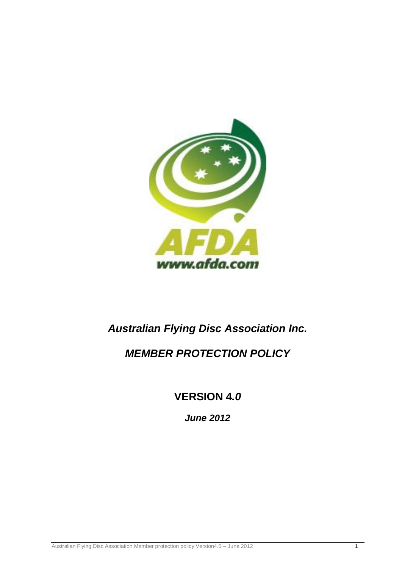

# *Australian Flying Disc Association Inc.*

# *MEMBER PROTECTION POLICY*

**VERSION 4***.0*

*June 2012*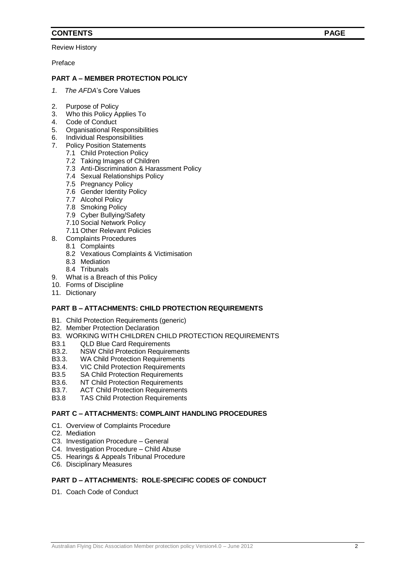# **CONTENTS PAGE**

Review History

Preface

## **PART A – MEMBER PROTECTION POLICY**

- *1. The AFDA*'s Core Values
- 2. Purpose of Policy
- 3. Who this Policy Applies To
- 4. Code of Conduct
- 5. Organisational Responsibilities
- 6. Individual Responsibilities
- 7. Policy Position Statements
	- 7.1 Child Protection Policy
	- 7.2 Taking Images of Children
	- 7.3 Anti-Discrimination & Harassment Policy
	- 7.4 Sexual Relationships Policy
	- 7.5 Pregnancy Policy
	- 7.6 Gender Identity Policy
	- 7.7 Alcohol Policy
	- 7.8 Smoking Policy
	- 7.9 Cyber Bullying/Safety
	- 7.10 Social Network Policy
	- 7.11 Other Relevant Policies
- 8. Complaints Procedures
	- 8.1 Complaints
	- 8.2 Vexatious Complaints & Victimisation
	- 8.3 Mediation
	- 8.4 Tribunals
- 9. What is a Breach of this Policy
- 10. Forms of Discipline
- 11. Dictionary

## **PART B – ATTACHMENTS: CHILD PROTECTION REQUIREMENTS**

- B1. Child Protection Requirements (generic)
- B2. Member Protection Declaration
- B3. WORKING WITH CHILDREN CHILD PROTECTION REQUIREMENTS<br>B3.1 OLD Blue Card Requirements
- **QLD Blue Card Requirements**
- B3.2. NSW Child Protection Requirements
- B3.3. WA Child Protection Requirements
- B3.4. VIC Child Protection Requirements
- B3.5 SA Child Protection Requirements
- B3.6. NT Child Protection Requirements
- B3.7. ACT Child Protection Requirements
- B3.8 TAS Child Protection Requirements

#### **PART C – ATTACHMENTS: COMPLAINT HANDLING PROCEDURES**

- C1. Overview of Complaints Procedure
- C2. Mediation
- C3. Investigation Procedure General
- C4. Investigation Procedure Child Abuse
- C5. Hearings & Appeals Tribunal Procedure
- C6. Disciplinary Measures

#### **PART D – ATTACHMENTS: ROLE-SPECIFIC CODES OF CONDUCT**

D1. Coach Code of Conduct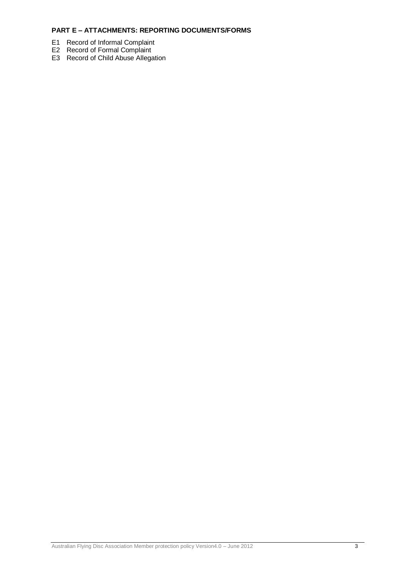# **PART E – ATTACHMENTS: REPORTING DOCUMENTS/FORMS**

- E1 Record of Informal Complaint
- E2 Record of Formal Complaint
- E3 Record of Child Abuse Allegation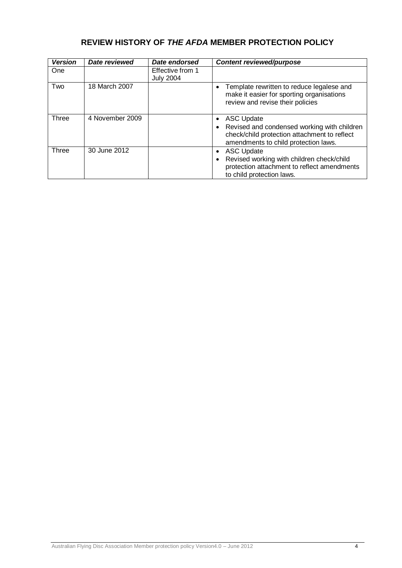# **REVIEW HISTORY OF** *THE AFDA* **MEMBER PROTECTION POLICY**

| <b>Version</b> | <b>Date reviewed</b> | Date endorsed                        | <b>Content reviewed/purpose</b>                                                                                                                       |
|----------------|----------------------|--------------------------------------|-------------------------------------------------------------------------------------------------------------------------------------------------------|
| One            |                      | Effective from 1<br><b>July 2004</b> |                                                                                                                                                       |
| Two            | 18 March 2007        |                                      | Template rewritten to reduce legalese and<br>make it easier for sporting organisations<br>review and revise their policies                            |
| Three          | 4 November 2009      |                                      | • ASC Update<br>• Revised and condensed working with children<br>check/child protection attachment to reflect<br>amendments to child protection laws. |
| Three          | 30 June 2012         |                                      | <b>ASC Update</b><br>Revised working with children check/child<br>protection attachment to reflect amendments<br>to child protection laws.            |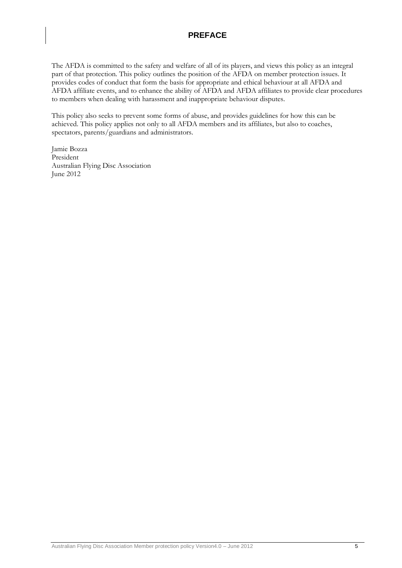# **PREFACE**

The AFDA is committed to the safety and welfare of all of its players, and views this policy as an integral part of that protection. This policy outlines the position of the AFDA on member protection issues. It provides codes of conduct that form the basis for appropriate and ethical behaviour at all AFDA and AFDA affiliate events, and to enhance the ability of AFDA and AFDA affiliates to provide clear procedures to members when dealing with harassment and inappropriate behaviour disputes.

This policy also seeks to prevent some forms of abuse, and provides guidelines for how this can be achieved. This policy applies not only to all AFDA members and its affiliates, but also to coaches, spectators, parents/guardians and administrators.

Jamie Bozza President Australian Flying Disc Association June 2012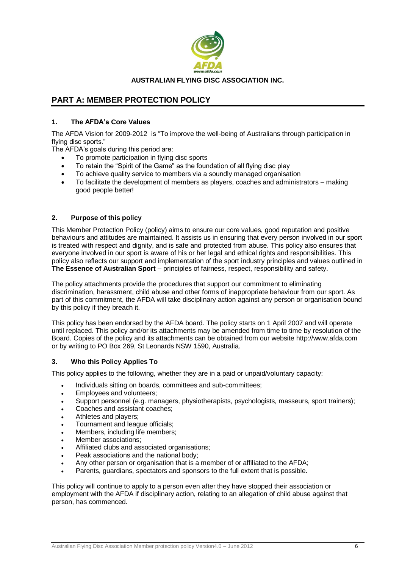

#### **AUSTRALIAN FLYING DISC ASSOCIATION INC.**

# **PART A: MEMBER PROTECTION POLICY**

## **1. The AFDA's Core Values**

The AFDA Vision for 2009-2012 is "To improve the well-being of Australians through participation in flying disc sports."

The AFDA's goals during this period are:

- To promote participation in flying disc sports
- To retain the "Spirit of the Game" as the foundation of all flying disc play
- To achieve quality service to members via a soundly managed organisation
- To facilitate the development of members as players, coaches and administrators making good people better!

## **2. Purpose of this policy**

This Member Protection Policy (policy) aims to ensure our core values, good reputation and positive behaviours and attitudes are maintained. It assists us in ensuring that every person involved in our sport is treated with respect and dignity, and is safe and protected from abuse. This policy also ensures that everyone involved in our sport is aware of his or her legal and ethical rights and responsibilities. This policy also reflects our support and implementation of the sport industry principles and values outlined in **The Essence of Australian Sport** – principles of fairness, respect, responsibility and safety.

The policy attachments provide the procedures that support our commitment to eliminating discrimination, harassment, child abuse and other forms of inappropriate behaviour from our sport. As part of this commitment, the AFDA will take disciplinary action against any person or organisation bound by this policy if they breach it.

This policy has been endorsed by the AFDA board. The policy starts on 1 April 2007 and will operate until replaced. This policy and/or its attachments may be amended from time to time by resolution of the Board. Copies of the policy and its attachments can be obtained from our website http://www.afda.com or by writing to PO Box 269, St Leonards NSW 1590, Australia.

#### **3. Who this Policy Applies To**

This policy applies to the following, whether they are in a paid or unpaid/voluntary capacity:

- Individuals sitting on boards, committees and sub-committees;
- Employees and volunteers;
- Support personnel (e.g. managers, physiotherapists, psychologists, masseurs, sport trainers);
- Coaches and assistant coaches;
- Athletes and players;
- Tournament and league officials;
- Members, including life members;
- Member associations:
- Affiliated clubs and associated organisations;
- Peak associations and the national body;
- Any other person or organisation that is a member of or affiliated to the AFDA;
- Parents, guardians, spectators and sponsors to the full extent that is possible.

This policy will continue to apply to a person even after they have stopped their association or employment with the AFDA if disciplinary action, relating to an allegation of child abuse against that person, has commenced.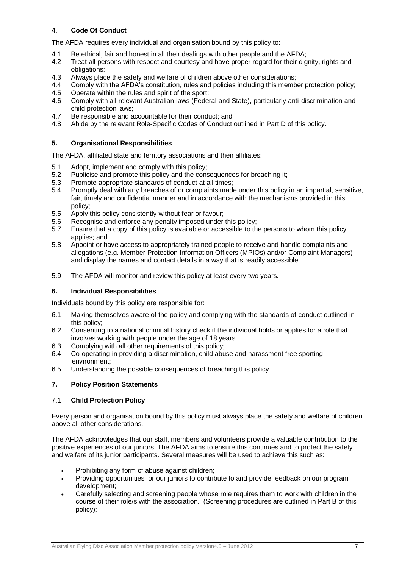## 4. **Code Of Conduct**

The AFDA requires every individual and organisation bound by this policy to:

- 4.1 Be ethical, fair and honest in all their dealings with other people and the AFDA;
- 4.2 Treat all persons with respect and courtesy and have proper regard for their dignity, rights and obligations;
- 4.3 Always place the safety and welfare of children above other considerations;
- 4.4 Comply with the AFDA's constitution, rules and policies including this member protection policy;
- 4.5 Operate within the rules and spirit of the sport;
- 4.6 Comply with all relevant Australian laws (Federal and State), particularly anti-discrimination and child protection laws;
- 4.7 Be responsible and accountable for their conduct; and<br>4.8 Abide by the relevant Role-Specific Codes of Conduct
- 4.8 Abide by the relevant Role-Specific Codes of Conduct outlined in Part D of this policy.

#### **5. Organisational Responsibilities**

The AFDA, affiliated state and territory associations and their affiliates:

- 5.1 Adopt, implement and comply with this policy;
- 5.2 Publicise and promote this policy and the consequences for breaching it;
- 5.3 Promote appropriate standards of conduct at all times;
- 5.4 Promptly deal with any breaches of or complaints made under this policy in an impartial, sensitive, fair, timely and confidential manner and in accordance with the mechanisms provided in this policy;
- 5.5 Apply this policy consistently without fear or favour;
- 5.6 Recognise and enforce any penalty imposed under this policy;
- 5.7 Ensure that a copy of this policy is available or accessible to the persons to whom this policy applies; and
- 5.8 Appoint or have access to appropriately trained people to receive and handle complaints and allegations (e.g. Member Protection Information Officers (MPIOs) and/or Complaint Managers) and display the names and contact details in a way that is readily accessible.
- 5.9 The AFDA will monitor and review this policy at least every two years.

#### **6. Individual Responsibilities**

Individuals bound by this policy are responsible for:

- 6.1 Making themselves aware of the policy and complying with the standards of conduct outlined in this policy;
- 6.2 Consenting to a national criminal history check if the individual holds or applies for a role that involves working with people under the age of 18 years.
- 6.3 Complying with all other requirements of this policy;
- 6.4 Co-operating in providing a discrimination, child abuse and harassment free sporting environment;
- 6.5 Understanding the possible consequences of breaching this policy.

#### **7. Policy Position Statements**

#### 7.1 **Child Protection Policy**

Every person and organisation bound by this policy must always place the safety and welfare of children above all other considerations.

The AFDA acknowledges that our staff, members and volunteers provide a valuable contribution to the positive experiences of our juniors. The AFDA aims to ensure this continues and to protect the safety and welfare of its junior participants. Several measures will be used to achieve this such as:

- Prohibiting any form of abuse against children;
- Providing opportunities for our juniors to contribute to and provide feedback on our program development;
- Carefully selecting and screening people whose role requires them to work with children in the course of their role/s with the association. (Screening procedures are outlined in Part B of this policy);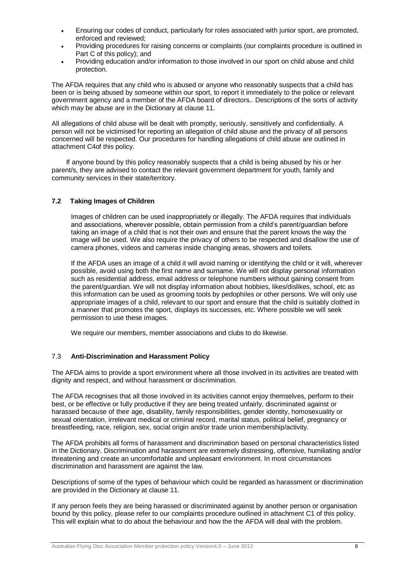- Ensuring our codes of conduct, particularly for roles associated with junior sport, are promoted, enforced and reviewed;
- Providing procedures for raising concerns or complaints (our complaints procedure is outlined in Part C of this policy); and
- Providing education and/or information to those involved in our sport on child abuse and child protection.

The AFDA requires that any child who is abused or anyone who reasonably suspects that a child has been or is being abused by someone within our sport, to report it immediately to the police or relevant government agency and a member of the AFDA board of directors*..* Descriptions of the sorts of activity which may be abuse are in the Dictionary at clause 11.

All allegations of child abuse will be dealt with promptly, seriously, sensitively and confidentially. A person will not be victimised for reporting an allegation of child abuse and the privacy of all persons concerned will be respected. Our procedures for handling allegations of child abuse are outlined in attachment C4of this policy*.*

If anyone bound by this policy reasonably suspects that a child is being abused by his or her parent/s, they are advised to contact the relevant government department for youth, family and community services in their state/territory.

#### **7.2 Taking Images of Children**

Images of children can be used inappropriately or illegally. The AFDA requires that individuals and associations, wherever possible, obtain permission from a child's parent/guardian before taking an image of a child that is not their own and ensure that the parent knows the way the image will be used. We also require the privacy of others to be respected and disallow the use of camera phones, videos and cameras inside changing areas, showers and toilets.

If the AFDA uses an image of a child it will avoid naming or identifying the child or it will, wherever possible, avoid using both the first name and surname. We will not display personal information such as residential address, email address or telephone numbers without gaining consent from the parent/guardian. We will not display information about hobbies, likes/dislikes, school, etc as this information can be used as grooming tools by pedophiles or other persons. We will only use appropriate images of a child, relevant to our sport and ensure that the child is suitably clothed in a manner that promotes the sport, displays its successes, etc. Where possible we will seek permission to use these images.

We require our members, member associations and clubs to do likewise.

#### 7.3 **Anti-Discrimination and Harassment Policy**

The AFDA aims to provide a sport environment where all those involved in its activities are treated with dignity and respect, and without harassment or discrimination.

The AFDA recognises that all those involved in its activities cannot enjoy themselves, perform to their best, or be effective or fully productive if they are being treated unfairly, discriminated against or harassed because of their age, disability, family responsibilities, gender identity, homosexuality or sexual orientation, irrelevant medical or criminal record, marital status, political belief, pregnancy or breastfeeding, race, religion, sex, social origin and/or trade union membership/activity.

The AFDA prohibits all forms of harassment and discrimination based on personal characteristics listed in the Dictionary. Discrimination and harassment are extremely distressing, offensive, humiliating and/or threatening and create an uncomfortable and unpleasant environment. In most circumstances discrimination and harassment are against the law.

Descriptions of some of the types of behaviour which could be regarded as harassment or discrimination are provided in the Dictionary at clause 11.

If any person feels they are being harassed or discriminated against by another person or organisation bound by this policy, please refer to our complaints procedure outlined in attachment C1 of this policy. This will explain what to do about the behaviour and how the the AFDA will deal with the problem.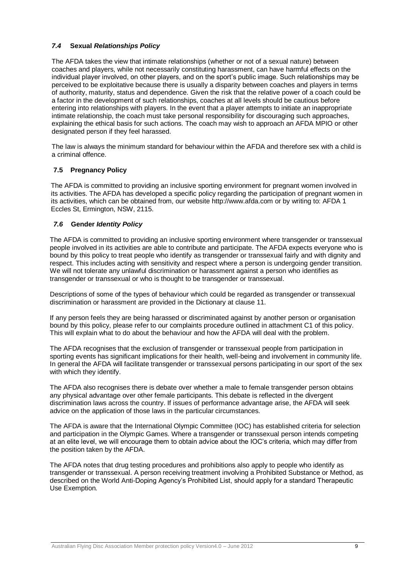#### *7.4* **Sexual** *Relationships Policy*

The AFDA takes the view that intimate relationships (whether or not of a sexual nature) between coaches and players, while not necessarily constituting harassment, can have harmful effects on the individual player involved, on other players, and on the sport's public image. Such relationships may be perceived to be exploitative because there is usually a disparity between coaches and players in terms of authority, maturity, status and dependence. Given the risk that the relative power of a coach could be a factor in the development of such relationships, coaches at all levels should be cautious before entering into relationships with players. In the event that a player attempts to initiate an inappropriate intimate relationship, the coach must take personal responsibility for discouraging such approaches, explaining the ethical basis for such actions. The coach may wish to approach an AFDA MPIO or other designated person if they feel harassed.

The law is always the minimum standard for behaviour within the AFDA and therefore sex with a child is a criminal offence.

## **7.5 Pregnancy Policy**

The AFDA is committed to providing an inclusive sporting environment for pregnant women involved in its activities. The AFDA has developed a specific policy regarding the participation of pregnant women in its activities, which can be obtained from, our website http://www.afda.com or by writing to: AFDA 1 Eccles St, Ermington, NSW, 2115.

#### *7.6* **Gender** *Identity Policy*

The AFDA is committed to providing an inclusive sporting environment where transgender or transsexual people involved in its activities are able to contribute and participate. The AFDA expects everyone who is bound by this policy to treat people who identify as transgender or transsexual fairly and with dignity and respect. This includes acting with sensitivity and respect where a person is undergoing gender transition. We will not tolerate any unlawful discrimination or harassment against a person who identifies as transgender or transsexual or who is thought to be transgender or transsexual.

Descriptions of some of the types of behaviour which could be regarded as transgender or transsexual discrimination or harassment are provided in the Dictionary at clause 11.

If any person feels they are being harassed or discriminated against by another person or organisation bound by this policy, please refer to our complaints procedure outlined in attachment C1 of this policy. This will explain what to do about the behaviour and how the AFDA will deal with the problem.

The AFDA recognises that the exclusion of transgender or transsexual people from participation in sporting events has significant implications for their health, well-being and involvement in community life. In general the AFDA will facilitate transgender or transsexual persons participating in our sport of the sex with which they identify.

The AFDA also recognises there is debate over whether a male to female transgender person obtains any physical advantage over other female participants. This debate is reflected in the divergent discrimination laws across the country. If issues of performance advantage arise, the AFDA will seek advice on the application of those laws in the particular circumstances.

The AFDA is aware that the International Olympic Committee (IOC) has established criteria for selection and participation in the Olympic Games. Where a transgender or transsexual person intends competing at an elite level, we will encourage them to obtain advice about the IOC's criteria, which may differ from the position taken by the AFDA.

The AFDA notes that drug testing procedures and prohibitions also apply to people who identify as transgender or transsexual. A person receiving treatment involving a Prohibited Substance or Method, as described on the World Anti-Doping Agency's Prohibited List, should apply for a standard Therapeutic Use Exemption*.*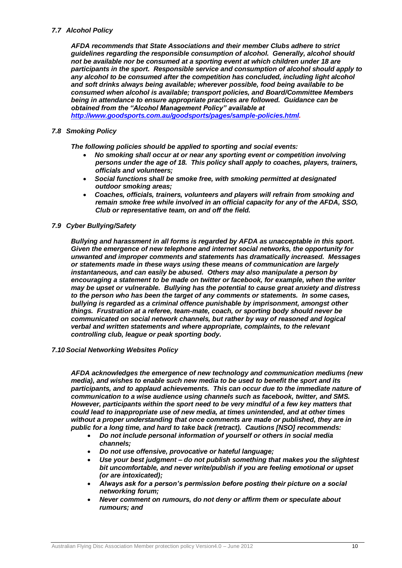#### *7.7 Alcohol Policy*

*AFDA recommends that State Associations and their member Clubs adhere to strict guidelines regarding the responsible consumption of alcohol. Generally, alcohol should not be available nor be consumed at a sporting event at which children under 18 are participants in the sport. Responsible service and consumption of alcohol should apply to any alcohol to be consumed after the competition has concluded, including light alcohol and soft drinks always being available; wherever possible, food being available to be consumed when alcohol is available; transport policies, and Board/Committee Members being in attendance to ensure appropriate practices are followed. Guidance can be obtained from the "Alcohol Management Policy" available at [http://www.goodsports.com.au/goodsports/pages/sample-policies.html.](http://www.goodsports.com.au/goodsports/pages/sample-policies.html)* 

# *7.8 Smoking Policy*

*The following policies should be applied to sporting and social events:*

- *No smoking shall occur at or near any sporting event or competition involving persons under the age of 18. This policy shall apply to coaches, players, trainers, officials and volunteers;*
- *Social functions shall be smoke free, with smoking permitted at designated outdoor smoking areas;*
- *Coaches, officials, trainers, volunteers and players will refrain from smoking and remain smoke free while involved in an official capacity for any of the AFDA, SSO, Club or representative team, on and off the field.*

#### *7.9 Cyber Bullying/Safety*

*Bullying and harassment in all forms is regarded by AFDA as unacceptable in this sport. Given the emergence of new telephone and internet social networks, the opportunity for unwanted and improper comments and statements has dramatically increased. Messages or statements made in these ways using these means of communication are largely instantaneous, and can easily be abused. Others may also manipulate a person by encouraging a statement to be made on twitter or facebook, for example, when the writer may be upset or vulnerable. Bullying has the potential to cause great anxiety and distress to the person who has been the target of any comments or statements. In some cases, bullying is regarded as a criminal offence punishable by imprisonment, amongst other things. Frustration at a referee, team-mate, coach, or sporting body should never be communicated on social network channels, but rather by way of reasoned and logical verbal and written statements and where appropriate, complaints, to the relevant controlling club, league or peak sporting body.* 

#### *7.10 Social Networking Websites Policy*

*AFDA acknowledges the emergence of new technology and communication mediums (new media), and wishes to enable such new media to be used to benefit the sport and its participants, and to applaud achievements. This can occur due to the immediate nature of communication to a wise audience using channels such as facebook, twitter, and SMS. However, participants within the sport need to be very mindful of a few key matters that could lead to inappropriate use of new media, at times unintended, and at other times without a proper understanding that once comments are made or published, they are in public for a long time, and hard to take back (retract). Cautions [NSO] recommends:*

- *Do not include personal information of yourself or others in social media channels;*
- *Do not use offensive, provocative or hateful language;*
- *Use your best judgment – do not publish something that makes you the slightest bit uncomfortable, and never write/publish if you are feeling emotional or upset (or are intoxicated);*
- *Always ask for a person's permission before posting their picture on a social networking forum;*
- *Never comment on rumours, do not deny or affirm them or speculate about rumours; and*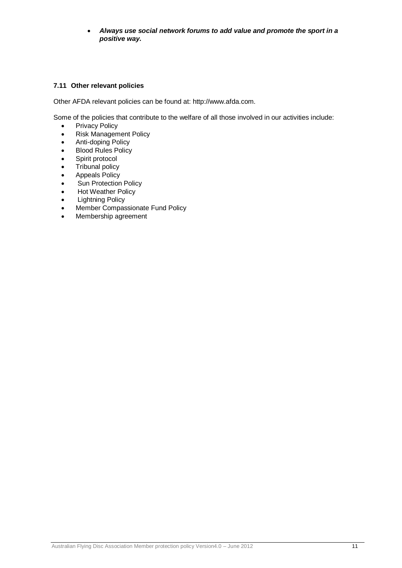*Always use social network forums to add value and promote the sport in a positive way.*

## **7.11 Other relevant policies**

Other AFDA relevant policies can be found at: http://www.afda.com*.*

Some of the policies that contribute to the welfare of all those involved in our activities include:

- Privacy Policy
- Risk Management Policy
- Anti-doping Policy
- Blood Rules Policy
- Spirit protocol
- Tribunal policy
- Appeals Policy
- Sun Protection Policy
- Hot Weather Policy
- Lightning Policy
- Member Compassionate Fund Policy
- Membership agreement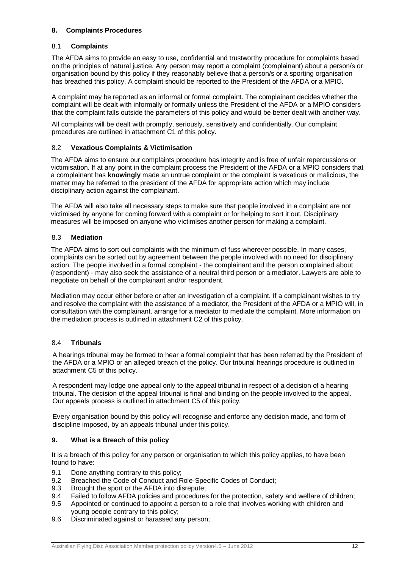## **8. Complaints Procedures**

#### 8.1 **Complaints**

The AFDA aims to provide an easy to use, confidential and trustworthy procedure for complaints based on the principles of natural justice. Any person may report a complaint (complainant) about a person/s or organisation bound by this policy if they reasonably believe that a person/s or a sporting organisation has breached this policy. A complaint should be reported to the President of the AFDA or a MPIO.

A complaint may be reported as an informal or formal complaint. The complainant decides whether the complaint will be dealt with informally or formally unless the President of the AFDA or a MPIO considers that the complaint falls outside the parameters of this policy and would be better dealt with another way.

All complaints will be dealt with promptly, seriously, sensitively and confidentially. Our complaint procedures are outlined in attachment C1 of this policy.

## 8.2 **Vexatious Complaints & Victimisation**

The AFDA aims to ensure our complaints procedure has integrity and is free of unfair repercussions or victimisation. If at any point in the complaint process the President of the AFDA or a MPIO considers that a complainant has **knowingly** made an untrue complaint or the complaint is vexatious or malicious, the matter may be referred to the president of the AFDA for appropriate action which may include disciplinary action against the complainant.

The AFDA will also take all necessary steps to make sure that people involved in a complaint are not victimised by anyone for coming forward with a complaint or for helping to sort it out. Disciplinary measures will be imposed on anyone who victimises another person for making a complaint.

#### 8.3 **Mediation**

The AFDA aims to sort out complaints with the minimum of fuss wherever possible. In many cases, complaints can be sorted out by agreement between the people involved with no need for disciplinary action. The people involved in a formal complaint - the complainant and the person complained about (respondent) - may also seek the assistance of a neutral third person or a mediator. Lawyers are able to negotiate on behalf of the complainant and/or respondent.

Mediation may occur either before or after an investigation of a complaint. If a complainant wishes to try and resolve the complaint with the assistance of a mediator, the President of the AFDA or a MPIO will, in consultation with the complainant, arrange for a mediator to mediate the complaint. More information on the mediation process is outlined in attachment C2 of this policy.

# 8.4 **Tribunals**

A hearings tribunal may be formed to hear a formal complaint that has been referred by the President of the AFDA or a MPIO or an alleged breach of the policy. Our tribunal hearings procedure is outlined in attachment C5 of this policy.

A respondent may lodge one appeal only to the appeal tribunal in respect of a decision of a hearing tribunal. The decision of the appeal tribunal is final and binding on the people involved to the appeal. Our appeals process is outlined in attachment C5 of this policy.

Every organisation bound by this policy will recognise and enforce any decision made, and form of discipline imposed, by an appeals tribunal under this policy.

# **9. What is a Breach of this policy**

It is a breach of this policy for any person or organisation to which this policy applies, to have been found to have:

- 9.1 Done anything contrary to this policy;
- 9.2 Breached the Code of Conduct and Role-Specific Codes of Conduct;
- 9.3 Brought the sport or the AFDA into disrepute;
- 9.4 Failed to follow AFDA policies and procedures for the protection, safety and welfare of children;
- 9.5 Appointed or continued to appoint a person to a role that involves working with children and young people contrary to this policy;
- 9.6 Discriminated against or harassed any person;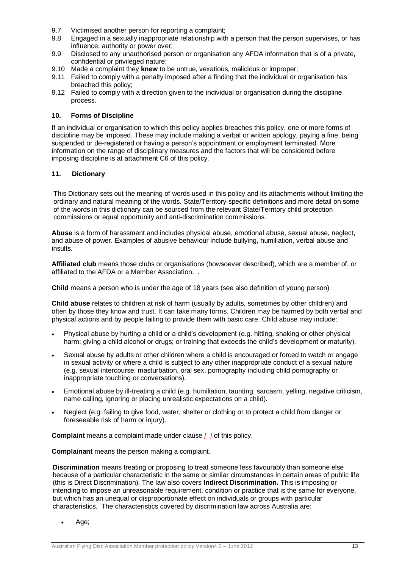- 9.7 Victimised another person for reporting a complaint;
- 9.8 Engaged in a sexually inappropriate relationship with a person that the person supervises, or has influence, authority or power over;
- 9.9 Disclosed to any unauthorised person or organisation any AFDA information that is of a private, confidential or privileged nature;
- 9.10 Made a complaint they **knew** to be untrue, vexatious, malicious or improper;
- 9.11 Failed to comply with a penalty imposed after a finding that the individual or organisation has breached this policy;
- 9.12 Failed to comply with a direction given to the individual or organisation during the discipline process.

#### **10. Forms of Discipline**

If an individual or organisation to which this policy applies breaches this policy, one or more forms of discipline may be imposed. These may include making a verbal or written apology, paying a fine, being suspended or de-registered or having a person's appointment or employment terminated. More information on the range of disciplinary measures and the factors that will be considered before imposing discipline is at attachment C6 of this policy*.*

#### **11. Dictionary**

This Dictionary sets out the meaning of words used in this policy and its attachments without limiting the ordinary and natural meaning of the words. State/Territory specific definitions and more detail on some of the words in this dictionary can be sourced from the relevant State/Territory child protection commissions or equal opportunity and anti-discrimination commissions.

**Abuse** is a form of harassment and includes physical abuse, emotional abuse, sexual abuse, neglect, and abuse of power. Examples of abusive behaviour include bullying, humiliation, verbal abuse and insults.

**Affiliated club** means those clubs or organisations (howsoever described), which are a member of, or affiliated to the AFDA or a Member Association. .

**Child** means a person who is under the age of 18 years (see also definition of young person)

**Child abuse** relates to children at risk of harm (usually by adults, sometimes by other children) and often by those they know and trust. It can take many forms. Children may be harmed by both verbal and physical actions and by people failing to provide them with basic care. Child abuse may include:

- Physical abuse by hurting a child or a child's development (e.g. hitting, shaking or other physical harm; giving a child alcohol or drugs; or training that exceeds the child's development or maturity).
- Sexual abuse by adults or other children where a child is encouraged or forced to watch or engage in sexual activity or where a child is subject to any other inappropriate conduct of a sexual nature (e.g. sexual intercourse, masturbation, oral sex, pornography including child pornography or inappropriate touching or conversations).
- Emotional abuse by ill-treating a child (e.g. humiliation, taunting, sarcasm, yelling, negative criticism, name calling, ignoring or placing unrealistic expectations on a child).
- Neglect (e.g. failing to give food, water, shelter or clothing or to protect a child from danger or foreseeable risk of harm or injury).

**Complaint** means a complaint made under clause *[ ]* of this policy.

**Complainant** means the person making a complaint.

**Discrimination** means treating or proposing to treat someone less favourably than someone else because of a particular characteristic in the same or similar circumstances in certain areas of public life (this is Direct Discrimination). The law also covers **Indirect Discrimination.** This is imposing or intending to impose an unreasonable requirement, condition or practice that is the same for everyone, but which has an unequal or disproportionate effect on individuals or groups with particular characteristics. The characteristics covered by discrimination law across Australia are:

Age;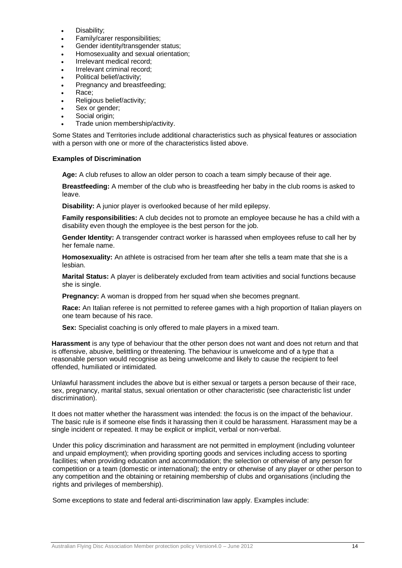- Disability;
- Family/carer responsibilities;
- Gender identity/transgender status;
- Homosexuality and sexual orientation;
- Irrelevant medical record;
- Irrelevant criminal record;
- Political belief/activity;
- Pregnancy and breastfeeding;
- Race;
- Religious belief/activity;
- Sex or gender;
- Social origin:
- Trade union membership/activity.

Some States and Territories include additional characteristics such as physical features or association with a person with one or more of the characteristics listed above.

#### **Examples of Discrimination**

**Age:** A club refuses to allow an older person to coach a team simply because of their age.

**Breastfeeding:** A member of the club who is breastfeeding her baby in the club rooms is asked to leave.

**Disability:** A junior player is overlooked because of her mild epilepsy.

**Family responsibilities:** A club decides not to promote an employee because he has a child with a disability even though the employee is the best person for the job.

**Gender Identity:** A transgender contract worker is harassed when employees refuse to call her by her female name.

**Homosexuality:** An athlete is ostracised from her team after she tells a team mate that she is a lesbian.

**Marital Status:** A player is deliberately excluded from team activities and social functions because she is single.

**Pregnancy:** A woman is dropped from her squad when she becomes pregnant.

**Race:** An Italian referee is not permitted to referee games with a high proportion of Italian players on one team because of his race.

**Sex:** Specialist coaching is only offered to male players in a mixed team.

**Harassment** is any type of behaviour that the other person does not want and does not return and that is offensive, abusive, belittling or threatening. The behaviour is unwelcome and of a type that a reasonable person would recognise as being unwelcome and likely to cause the recipient to feel offended, humiliated or intimidated.

Unlawful harassment includes the above but is either sexual or targets a person because of their race, sex, pregnancy, marital status, sexual orientation or other characteristic (see characteristic list under discrimination).

It does not matter whether the harassment was intended: the focus is on the impact of the behaviour. The basic rule is if someone else finds it harassing then it could be harassment. Harassment may be a single incident or repeated. It may be explicit or implicit, verbal or non-verbal.

Under this policy discrimination and harassment are not permitted in employment (including volunteer and unpaid employment); when providing sporting goods and services including access to sporting facilities; when providing education and accommodation; the selection or otherwise of any person for competition or a team (domestic or international); the entry or otherwise of any player or other person to any competition and the obtaining or retaining membership of clubs and organisations (including the rights and privileges of membership).

Some exceptions to state and federal anti-discrimination law apply. Examples include: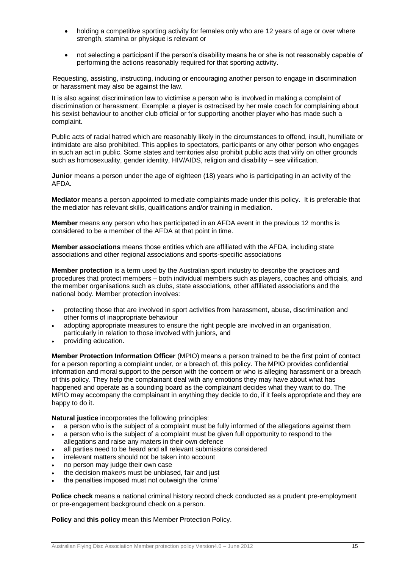- holding a competitive sporting activity for females only who are 12 years of age or over where strength, stamina or physique is relevant or
- not selecting a participant if the person's disability means he or she is not reasonably capable of performing the actions reasonably required for that sporting activity.

Requesting, assisting, instructing, inducing or encouraging another person to engage in discrimination or harassment may also be against the law.

It is also against discrimination law to victimise a person who is involved in making a complaint of discrimination or harassment. Example: a player is ostracised by her male coach for complaining about his sexist behaviour to another club official or for supporting another player who has made such a complaint.

Public acts of racial hatred which are reasonably likely in the circumstances to offend, insult, humiliate or intimidate are also prohibited. This applies to spectators, participants or any other person who engages in such an act in public. Some states and territories also prohibit public acts that vilify on other grounds such as homosexuality, gender identity, HIV/AIDS, religion and disability – see vilification.

**Junior** means a person under the age of eighteen (18) years who is participating in an activity of the AFDA*.*

**Mediator** means a person appointed to mediate complaints made under this policy. It is preferable that the mediator has relevant skills, qualifications and/or training in mediation.

**Member** means any person who has participated in an AFDA event in the previous 12 months is considered to be a member of the AFDA at that point in time.

**Member associations** means those entities which are affiliated with the AFDA, including state associations and other regional associations and sports-specific associations

**Member protection** is a term used by the Australian sport industry to describe the practices and procedures that protect members – both individual members such as players, coaches and officials, and the member organisations such as clubs, state associations, other affiliated associations and the national body. Member protection involves:

- protecting those that are involved in sport activities from harassment, abuse, discrimination and other forms of inappropriate behaviour
- adopting appropriate measures to ensure the right people are involved in an organisation, particularly in relation to those involved with juniors, and
- providing education.

**Member Protection Information Officer** (MPIO) means a person trained to be the first point of contact for a person reporting a complaint under, or a breach of, this policy. The MPIO provides confidential information and moral support to the person with the concern or who is alleging harassment or a breach of this policy. They help the complainant deal with any emotions they may have about what has happened and operate as a sounding board as the complainant decides what they want to do. The MPIO may accompany the complainant in anything they decide to do, if it feels appropriate and they are happy to do it.

**Natural justice** incorporates the following principles:

- a person who is the subject of a complaint must be fully informed of the allegations against them
- a person who is the subject of a complaint must be given full opportunity to respond to the allegations and raise any maters in their own defence
- all parties need to be heard and all relevant submissions considered
- irrelevant matters should not be taken into account
- no person may judge their own case
- the decision maker/s must be unbiased, fair and just
- the penalties imposed must not outweigh the 'crime'

**Police check** means a national criminal history record check conducted as a prudent pre-employment or pre-engagement background check on a person.

**Policy** and **this policy** mean this Member Protection Policy.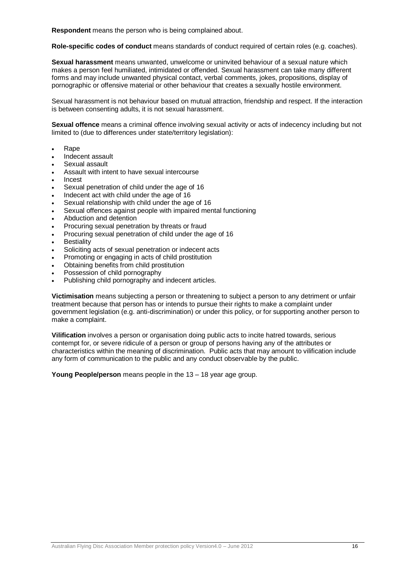**Respondent** means the person who is being complained about.

**Role-specific codes of conduct** means standards of conduct required of certain roles (e.g. coaches).

**Sexual harassment** means unwanted, unwelcome or uninvited behaviour of a sexual nature which makes a person feel humiliated, intimidated or offended. Sexual harassment can take many different forms and may include unwanted physical contact, verbal comments, jokes, propositions, display of pornographic or offensive material or other behaviour that creates a sexually hostile environment.

Sexual harassment is not behaviour based on mutual attraction, friendship and respect. If the interaction is between consenting adults, it is not sexual harassment.

**Sexual offence** means a criminal offence involving sexual activity or acts of indecency including but not limited to (due to differences under state/territory legislation):

- Rape
- Indecent assault
- Sexual assault
- Assault with intent to have sexual intercourse
- Incest
- Sexual penetration of child under the age of 16
- Indecent act with child under the age of 16
- Sexual relationship with child under the age of 16
- Sexual offences against people with impaired mental functioning
- Abduction and detention
- Procuring sexual penetration by threats or fraud
- Procuring sexual penetration of child under the age of 16
- **Bestiality**
- Soliciting acts of sexual penetration or indecent acts
- Promoting or engaging in acts of child prostitution
- Obtaining benefits from child prostitution
- Possession of child pornography
- Publishing child pornography and indecent articles.

**Victimisation** means subjecting a person or threatening to subject a person to any detriment or unfair treatment because that person has or intends to pursue their rights to make a complaint under government legislation (e.g. anti-discrimination) or under this policy, or for supporting another person to make a complaint.

**Vilification** involves a person or organisation doing public acts to incite hatred towards, serious contempt for, or severe ridicule of a person or group of persons having any of the attributes or characteristics within the meaning of discrimination. Public acts that may amount to vilification include any form of communication to the public and any conduct observable by the public.

**Young People/person** means people in the 13 – 18 year age group.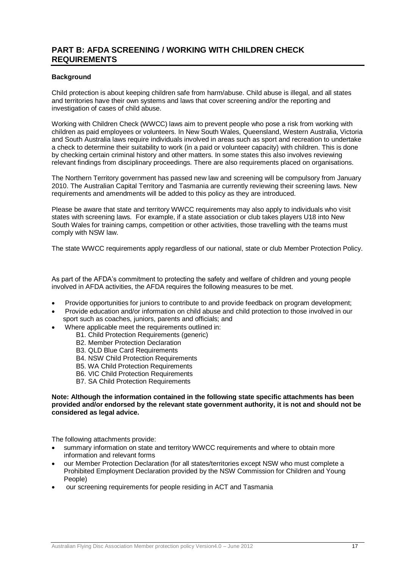# **PART B: AFDA SCREENING / WORKING WITH CHILDREN CHECK REQUIREMENTS**

#### **Background**

Child protection is about keeping children safe from harm/abuse. Child abuse is illegal, and all states and territories have their own systems and laws that cover screening and/or the reporting and investigation of cases of child abuse.

Working with Children Check (WWCC) laws aim to prevent people who pose a risk from working with children as paid employees or volunteers. In New South Wales, Queensland, Western Australia, Victoria and South Australia laws require individuals involved in areas such as sport and recreation to undertake a check to determine their suitability to work (in a paid or volunteer capacity) with children. This is done by checking certain criminal history and other matters. In some states this also involves reviewing relevant findings from disciplinary proceedings. There are also requirements placed on organisations.

The Northern Territory government has passed new law and screening will be compulsory from January 2010. The Australian Capital Territory and Tasmania are currently reviewing their screening laws. New requirements and amendments will be added to this policy as they are introduced.

Please be aware that state and territory WWCC requirements may also apply to individuals who visit states with screening laws. For example, if a state association or club takes players U18 into New South Wales for training camps, competition or other activities, those travelling with the teams must comply with NSW law.

The state WWCC requirements apply regardless of our national, state or club Member Protection Policy.

As part of the AFDA's commitment to protecting the safety and welfare of children and young people involved in AFDA activities, the AFDA requires the following measures to be met.

- Provide opportunities for juniors to contribute to and provide feedback on program development;
- Provide education and/or information on child abuse and child protection to those involved in our sport such as coaches, juniors, parents and officials; and
- Where applicable meet the requirements outlined in:
	- B1. Child Protection Requirements (generic)
	- B2. Member Protection Declaration
	- B3. QLD Blue Card Requirements
	- B4. NSW Child Protection Requirements
	- B5. WA Child Protection Requirements
	- B6. VIC Child Protection Requirements
	- B7. SA Child Protection Requirements

#### **Note: Although the information contained in the following state specific attachments has been provided and/or endorsed by the relevant state government authority, it is not and should not be considered as legal advice.**

The following attachments provide:

- summary information on state and territory WWCC requirements and where to obtain more information and relevant forms
- our Member Protection Declaration (for all states/territories except NSW who must complete a Prohibited Employment Declaration provided by the NSW Commission for Children and Young People)
- our screening requirements for people residing in ACT and Tasmania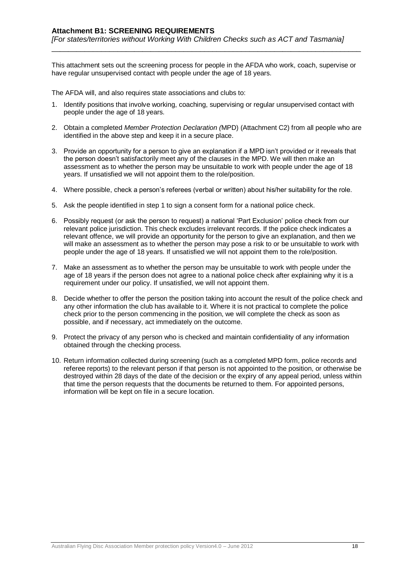This attachment sets out the screening process for people in the AFDA who work, coach, supervise or have regular unsupervised contact with people under the age of 18 years.

\_\_\_\_\_\_\_\_\_\_\_\_\_\_\_\_\_\_\_\_\_\_\_\_\_\_\_\_\_\_\_\_\_\_\_\_\_\_\_\_\_\_\_\_\_\_\_\_\_\_\_\_\_\_\_\_\_\_\_\_\_\_\_\_\_\_\_\_\_\_\_\_\_\_\_

The AFDA will, and also requires state associations and clubs to:

- 1. Identify positions that involve working, coaching, supervising or regular unsupervised contact with people under the age of 18 years.
- 2. Obtain a completed *Member Protection Declaration (*MPD) (Attachment C2) from all people who are identified in the above step and keep it in a secure place.
- 3. Provide an opportunity for a person to give an explanation if a MPD isn't provided or it reveals that the person doesn't satisfactorily meet any of the clauses in the MPD. We will then make an assessment as to whether the person may be unsuitable to work with people under the age of 18 years. If unsatisfied we will not appoint them to the role/position.
- 4. Where possible, check a person's referees (verbal or written) about his/her suitability for the role.
- 5. Ask the people identified in step 1 to sign a consent form for a national police check.
- 6. Possibly request (or ask the person to request) a national 'Part Exclusion' police check from our relevant police jurisdiction. This check excludes irrelevant records. If the police check indicates a relevant offence, we will provide an opportunity for the person to give an explanation, and then we will make an assessment as to whether the person may pose a risk to or be unsuitable to work with people under the age of 18 years. If unsatisfied we will not appoint them to the role/position.
- 7. Make an assessment as to whether the person may be unsuitable to work with people under the age of 18 years if the person does not agree to a national police check after explaining why it is a requirement under our policy. If unsatisfied, we will not appoint them.
- 8. Decide whether to offer the person the position taking into account the result of the police check and any other information the club has available to it. Where it is not practical to complete the police check prior to the person commencing in the position, we will complete the check as soon as possible, and if necessary, act immediately on the outcome.
- 9. Protect the privacy of any person who is checked and maintain confidentiality of any information obtained through the checking process.
- 10. Return information collected during screening (such as a completed MPD form, police records and referee reports) to the relevant person if that person is not appointed to the position, or otherwise be destroyed within 28 days of the date of the decision or the expiry of any appeal period, unless within that time the person requests that the documents be returned to them. For appointed persons, information will be kept on file in a secure location.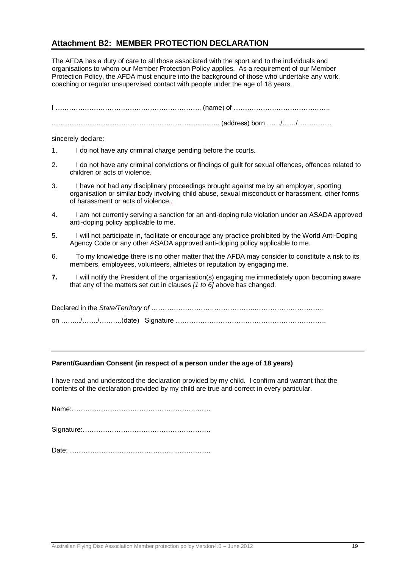# **Attachment B2: MEMBER PROTECTION DECLARATION**

The AFDA has a duty of care to all those associated with the sport and to the individuals and organisations to whom our Member Protection Policy applies. As a requirement of our Member Protection Policy, the AFDA must enquire into the background of those who undertake any work, coaching or regular unsupervised contact with people under the age of 18 years.

sincerely declare:

- 1. I do not have any criminal charge pending before the courts.
- 2. I do not have any criminal convictions or findings of guilt for sexual offences, offences related to children or acts of violence*.*
- 3. I have not had any disciplinary proceedings brought against me by an employer, sporting organisation or similar body involving child abuse, sexual misconduct or harassment, other forms of harassment or acts of violence.*.*
- 4. I am not currently serving a sanction for an anti-doping rule violation under an ASADA approved anti-doping policy applicable to me.
- 5. I will not participate in, facilitate or encourage any practice prohibited by the World Anti-Doping Agency Code or any other ASADA approved anti-doping policy applicable to me.
- 6. To my knowledge there is no other matter that the AFDA may consider to constitute a risk to its members, employees, volunteers, athletes or reputation by engaging me.
- **7.** I will notify the President of the organisation(s) engaging me immediately upon becoming aware that any of the matters set out in clauses *[1 to 6]* above has changed.

#### **Parent/Guardian Consent (in respect of a person under the age of 18 years)**

I have read and understood the declaration provided by my child. I confirm and warrant that the contents of the declaration provided by my child are true and correct in every particular.

Name:……………………………………………….…….

Date: ………………………………………. …………….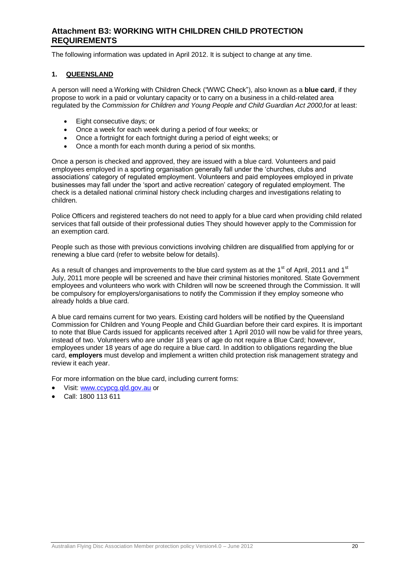# **Attachment B3: WORKING WITH CHILDREN CHILD PROTECTION REQUIREMENTS**

The following information was updated in April 2012. It is subject to change at any time.

#### **1. QUEENSLAND**

A person will need a Working with Children Check ("WWC Check"), also known as a **blue card**, if they propose to work in a paid or voluntary capacity or to carry on a business in a child-related area regulated by the *Commission for Children and Young People and Child Guardian Act 2000*,for at least:

- Eight consecutive days; or
- Once a week for each week during a period of four weeks; or
- Once a fortnight for each fortnight during a period of eight weeks; or
- Once a month for each month during a period of six months.

Once a person is checked and approved, they are issued with a blue card. Volunteers and paid employees employed in a sporting organisation generally fall under the 'churches, clubs and associations' category of regulated employment. Volunteers and paid employees employed in private businesses may fall under the 'sport and active recreation' category of regulated employment. The check is a detailed national criminal history check including charges and investigations relating to children.

Police Officers and registered teachers do not need to apply for a blue card when providing child related services that fall outside of their professional duties They should however apply to the Commission for an exemption card.

People such as those with previous convictions involving children are disqualified from applying for or renewing a blue card (refer to website below for details).

As a result of changes and improvements to the blue card system as at the 1<sup>st</sup> of April, 2011 and 1<sup>st</sup> July, 2011 more people will be screened and have their criminal histories monitored. State Government employees and volunteers who work with Children will now be screened through the Commission. It will be compulsory for employers/organisations to notify the Commission if they employ someone who already holds a blue card.

A blue card remains current for two years. Existing card holders will be notified by the Queensland Commission for Children and Young People and Child Guardian before their card expires. It is important to note that Blue Cards issued for applicants received after 1 April 2010 will now be valid for three years, instead of two. Volunteers who are under 18 years of age do not require a Blue Card; however, employees under 18 years of age do require a blue card. In addition to obligations regarding the blue card, **employers** must develop and implement a written child protection risk management strategy and review it each year.

For more information on the blue card, including current forms:

- Visit: [www.ccypcg.qld.gov.au](http://www.ccypcg.qld.gov.au/) or
- Call: 1800 113 611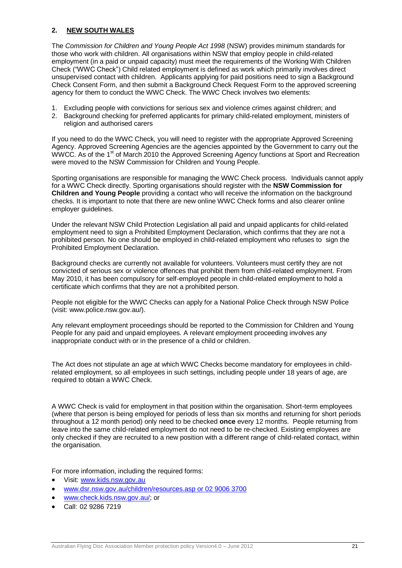#### **2. NEW SOUTH WALES**

The *Commission for Children and Young People Act 1998* (NSW) provides minimum standards for those who work with children. All organisations within NSW that employ people in child-related employment (in a paid or unpaid capacity) must meet the requirements of the Working With Children Check ("WWC Check") Child related employment is defined as work which primarily involves direct unsupervised contact with children. Applicants applying for paid positions need to sign a Background Check Consent Form, and then submit a Background Check Request Form to the approved screening agency for them to conduct the WWC Check. The WWC Check involves two elements:

- 1. Excluding people with convictions for serious sex and violence crimes against children; and
- 2. Background checking for preferred applicants for primary child-related employment, ministers of religion and authorised carers

If you need to do the WWC Check, you will need to register with the appropriate Approved Screening Agency. Approved Screening Agencies are the agencies appointed by the Government to carry out the WWCC. As of the 1<sup>st</sup> of March 2010 the Approved Screening Agency functions at Sport and Recreation were moved to the NSW Commission for Children and Young People.

Sporting organisations are responsible for managing the WWC Check process. Individuals cannot apply for a WWC Check directly. Sporting organisations should register with the **NSW Commission for Children and Young People** providing a contact who will receive the information on the background checks. It is important to note that there are new online WWC Check forms and also clearer online employer guidelines.

Under the relevant NSW Child Protection Legislation all paid and unpaid applicants for child-related employment need to sign a Prohibited Employment Declaration, which confirms that they are not a prohibited person. No one should be employed in child-related employment who refuses to sign the Prohibited Employment Declaration.

Background checks are currently not available for volunteers. Volunteers must certify they are not convicted of serious sex or violence offences that prohibit them from child-related employment. From May 2010, it has been compulsory for self-employed people in child-related employment to hold a certificate which confirms that they are not a prohibited person.

People not eligible for the WWC Checks can apply for a National Police Check through NSW Police (visit: www.police.nsw.gov.au/).

Any relevant employment proceedings should be reported to the Commission for Children and Young People for any paid and unpaid employees. A relevant employment proceeding involves any inappropriate conduct with or in the presence of a child or children.

The Act does not stipulate an age at which WWC Checks become mandatory for employees in childrelated employment, so all employees in such settings, including people under 18 years of age, are required to obtain a WWC Check.

A WWC Check is valid for employment in that position within the organisation. Short-term employees (where that person is being employed for periods of less than six months and returning for short periods throughout a 12 month period) only need to be checked **once** every 12 months. People returning from leave into the same child-related employment do not need to be re-checked. Existing employees are only checked if they are recruited to a new position with a different range of child-related contact, within the organisation.

For more information, including the required forms:

- Visit: [www.kids.nsw.gov.au](http://www.kids.nsw.gov.au/)
- [www.dsr.nsw.gov.au/children/resources.asp or 02 9006 3700](http://www.dsr.nsw.gov.au/children/resources.asp%20or%2002%209006%203700)
- [www.check.kids.nsw.gov.au/;](http://www.check.kids.nsw.gov.au/) or
- Call: 02 9286 7219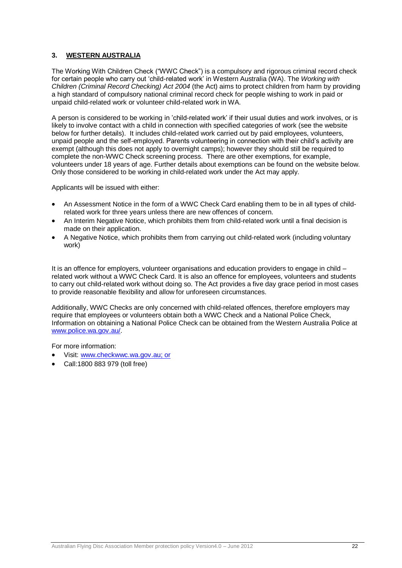## **3. WESTERN AUSTRALIA**

The Working With Children Check ("WWC Check") is a compulsory and rigorous criminal record check for certain people who carry out 'child-related work' in Western Australia (WA). The *Working with Children (Criminal Record Checking) Act 2004* (the Act) aims to protect children from harm by providing a high standard of compulsory national criminal record check for people wishing to work in paid or unpaid child-related work or volunteer child-related work in WA.

A person is considered to be working in 'child-related work' if their usual duties and work involves, or is likely to involve contact with a child in connection with specified categories of work (see the website below for further details). It includes child-related work carried out by paid employees, volunteers, unpaid people and the self-employed. Parents volunteering in connection with their child's activity are exempt (although this does not apply to overnight camps); however they should still be required to complete the non-WWC Check screening process. There are other exemptions, for example, volunteers under 18 years of age. Further details about exemptions can be found on the website below. Only those considered to be working in child-related work under the Act may apply.

Applicants will be issued with either:

- An Assessment Notice in the form of a WWC Check Card enabling them to be in all types of childrelated work for three years unless there are new offences of concern.
- An Interim Negative Notice, which prohibits them from child-related work until a final decision is made on their application.
- A Negative Notice, which prohibits them from carrying out child-related work (including voluntary work)

It is an offence for employers, volunteer organisations and education providers to engage in child – related work without a WWC Check Card. It is also an offence for employees, volunteers and students to carry out child-related work without doing so. The Act provides a five day grace period in most cases to provide reasonable flexibility and allow for unforeseen circumstances.

Additionally, WWC Checks are only concerned with child-related offences, therefore employers may require that employees or volunteers obtain both a WWC Check and a National Police Check, Information on obtaining a National Police Check can be obtained from the Western Australia Police at [www.police.wa.gov.au/.](http://www.police.wa.gov.au/)

For more information:

- Visit: [www.checkwwc.wa.gov.au;](http://www.checkwwc.wa.gov.au/) or
- Call:1800 883 979 (toll free)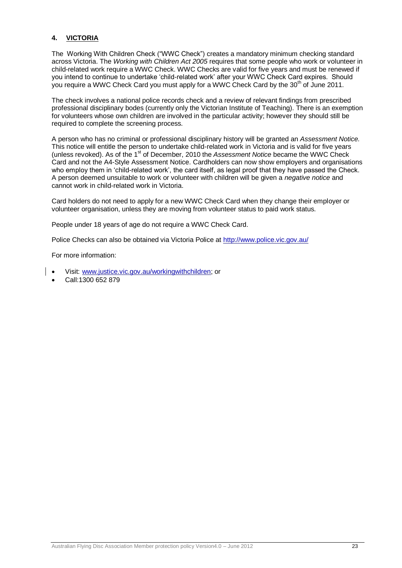# **4. VICTORIA**

The Working With Children Check ("WWC Check") creates a mandatory minimum checking standard across Victoria. The *Working with Children Act 2005* requires that some people who work or volunteer in child-related work require a WWC Check. WWC Checks are valid for five years and must be renewed if you intend to continue to undertake 'child-related work' after your WWC Check Card expires. Should you require a WWC Check Card you must apply for a WWC Check Card by the 30<sup>th</sup> of June 2011.

The check involves a national police records check and a review of relevant findings from prescribed professional disciplinary bodes (currently only the Victorian Institute of Teaching). There is an exemption for volunteers whose own children are involved in the particular activity; however they should still be required to complete the screening process.

A person who has no criminal or professional disciplinary history will be granted an *Assessment Notice.*  This notice will entitle the person to undertake child-related work in Victoria and is valid for five years (unless revoked). As of the 1<sup>st</sup> of December, 2010 the *Assessment Notice* became the WWC Check Card and not the A4-Style Assessment Notice. Cardholders can now show employers and organisations who employ them in 'child-related work', the card itself, as legal proof that they have passed the Check. A person deemed unsuitable to work or volunteer with children will be given a *negative notice* and cannot work in [child-related work](http://www.justice.vic.gov.au/CA2569020010922A/page/Business+Units-Working+With+Children+Check?OpenDocument&1=0-Business+Units~&2=0-Working+With+Children+Check~&3=~#what#what) in Victoria.

Card holders do not need to apply for a new WWC Check Card when they change their employer or volunteer organisation, unless they are moving from volunteer status to paid work status.

People under 18 years of age do not require a WWC Check Card.

Police Checks can also be obtained via Victoria Police at<http://www.police.vic.gov.au/>

For more information:

- Visit: [www.justice.vic.gov.au/workingwithchildren;](http://www.justice.vic.gov.au/workingwithchildren) or
- Call:1300 652 879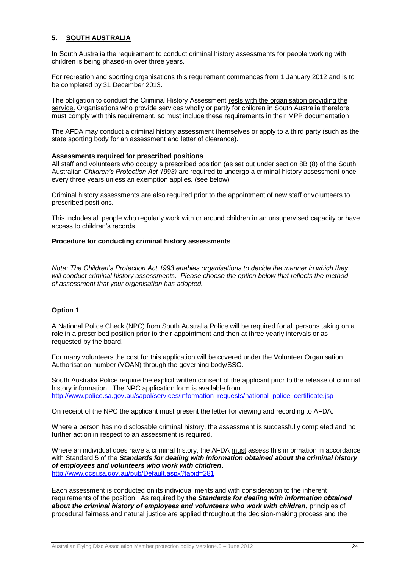# **5. SOUTH AUSTRALIA**

In South Australia the requirement to conduct criminal history assessments for people working with children is being phased-in over three years.

For recreation and sporting organisations this requirement commences from 1 January 2012 and is to be completed by 31 December 2013.

The obligation to conduct the Criminal History Assessment rests with the organisation providing the service. Organisations who provide services wholly or partly for children in South Australia therefore must comply with this requirement, so must include these requirements in their MPP documentation

The AFDA may conduct a criminal history assessment themselves or apply to a third party (such as the state sporting body for an assessment and letter of clearance).

#### **Assessments required for prescribed positions**

All staff and volunteers who occupy a prescribed position (as set out under section 8B (8) of the South Australian *Children's Protection Act 1993)* are required to undergo a criminal history assessment once every three years unless an exemption applies. (see below)

Criminal history assessments are also required prior to the appointment of new staff or volunteers to prescribed positions.

This includes all people who regularly work with or around children in an unsupervised capacity or have access to children's records.

#### **Procedure for conducting criminal history assessments**

*Note: The Children's Protection Act 1993 enables organisations to decide the manner in which they will conduct criminal history assessments. Please choose the option below that reflects the method of assessment that your organisation has adopted.*

#### **Option 1**

A National Police Check (NPC) from South Australia Police will be required for all persons taking on a role in a prescribed position prior to their appointment and then at three yearly intervals or as requested by the board.

For many volunteers the cost for this application will be covered under the Volunteer Organisation Authorisation number (VOAN) through the governing body/SSO.

South Australia Police require the explicit written consent of the applicant prior to the release of criminal history information. The NPC application form is available from [http://www.police.sa.gov.au/sapol/services/information\\_requests/national\\_police\\_certificate.jsp](http://www.police.sa.gov.au/sapol/services/information_requests/national_police_certificate.jsp)

On receipt of the NPC the applicant must present the letter for viewing and recording to AFDA.

Where a person has no disclosable criminal history, the assessment is successfully completed and no further action in respect to an assessment is required.

Where an individual does have a criminal history, the AFDA must assess this information in accordance with Standard 5 of the *Standards for dealing with information obtained about the criminal history of employees and volunteers who work with children***.** <http://www.dcsi.sa.gov.au/pub/Default.aspx?tabid=281>

Each assessment is conducted on its individual merits and with consideration to the inherent requirements of the position. As required by **the** *Standards for dealing with information obtained about the criminal history of employees and volunteers who work with children***,** principles of procedural fairness and natural justice are applied throughout the decision-making process and the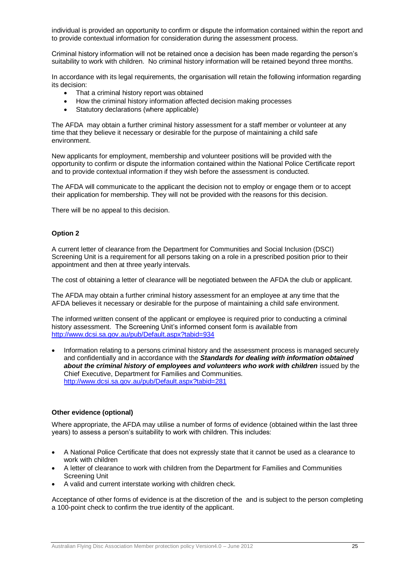individual is provided an opportunity to confirm or dispute the information contained within the report and to provide contextual information for consideration during the assessment process.

Criminal history information will not be retained once a decision has been made regarding the person's suitability to work with children. No criminal history information will be retained beyond three months.

In accordance with its legal requirements, the organisation will retain the following information regarding its decision:

- That a criminal history report was obtained
- How the criminal history information affected decision making processes
- Statutory declarations (where applicable)

The AFDA may obtain a further criminal history assessment for a staff member or volunteer at any time that they believe it necessary or desirable for the purpose of maintaining a child safe environment.

New applicants for employment, membership and volunteer positions will be provided with the opportunity to confirm or dispute the information contained within the National Police Certificate report and to provide contextual information if they wish before the assessment is conducted.

The AFDA will communicate to the applicant the decision not to employ or engage them or to accept their application for membership. They will not be provided with the reasons for this decision.

There will be no appeal to this decision.

## **Option 2**

A current letter of clearance from the Department for Communities and Social Inclusion (DSCI) Screening Unit is a requirement for all persons taking on a role in a prescribed position prior to their appointment and then at three yearly intervals.

The cost of obtaining a letter of clearance will be negotiated between the AFDA the club or applicant.

The AFDA may obtain a further criminal history assessment for an employee at any time that the AFDA believes it necessary or desirable for the purpose of maintaining a child safe environment.

The informed written consent of the applicant or employee is required prior to conducting a criminal history assessment. The Screening Unit's informed consent form is available from <http://www.dcsi.sa.gov.au/pub/Default.aspx?tabid=934>

 Information relating to a persons criminal history and the assessment process is managed securely and confidentially and in accordance with the *Standards for dealing with information obtained*  **about the criminal history of employees and volunteers who work with children** issued by the Chief Executive, Department for Families and Communities. <http://www.dcsi.sa.gov.au/pub/Default.aspx?tabid=281>

#### **Other evidence (optional)**

Where appropriate, the AFDA may utilise a number of forms of evidence (obtained within the last three years) to assess a person's suitability to work with children. This includes:

- A National Police Certificate that does not expressly state that it cannot be used as a clearance to work with children
- A letter of clearance to work with children from the Department for Families and Communities Screening Unit
- A valid and current interstate working with children check.

Acceptance of other forms of evidence is at the discretion of the and is subject to the person completing a 100-point check to confirm the true identity of the applicant.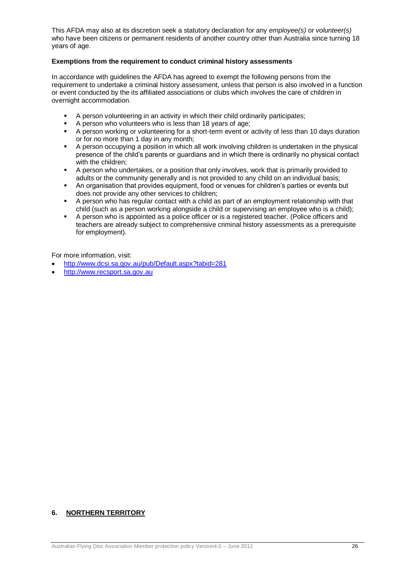This AFDA may also at its discretion seek a statutory declaration for any *employee(s)* or *volunteer(s)* who have been citizens or permanent residents of another country other than Australia since turning 18 years of age.

#### **Exemptions from the requirement to conduct criminal history assessments**

In accordance with guidelines the AFDA has agreed to exempt the following persons from the requirement to undertake a criminal history assessment, unless that person is also involved in a function or event conducted by the its affiliated associations or clubs which involves the care of children in overnight accommodation.

- A person volunteering in an activity in which their child ordinarily participates;
- A person who volunteers who is less than 18 years of age;
- A person working or volunteering for a short-term event or activity of less than 10 days duration or for no more than 1 day in any month;
- A person occupying a position in which all work involving children is undertaken in the physical presence of the child's parents or guardians and in which there is ordinarily no physical contact with the children;
- A person who undertakes, or a position that only involves, work that is primarily provided to adults or the community generally and is not provided to any child on an individual basis;
- An organisation that provides equipment, food or venues for children's parties or events but does not provide any other services to children;
- A person who has regular contact with a child as part of an employment relationship with that child (such as a person working alongside a child or supervising an employee who is a child);
- A person who is appointed as a police officer or is a registered teacher. (Police officers and teachers are already subject to comprehensive criminal history assessments as a prerequisite for employment).

For more information, visit:

- <http://www.dcsi.sa.gov.au/pub/Default.aspx?tabid=281>
- [http://www.recsport.sa.gov.au](http://www.recsport.sa.gov.au/)

# **6. NORTHERN TERRITORY**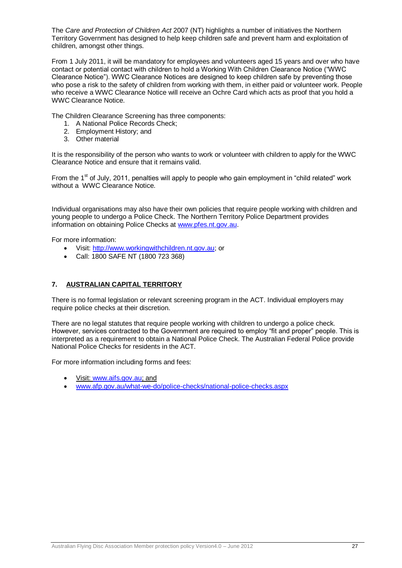The *Care and Protection of Children Act* 2007 (NT) highlights a number of initiatives the Northern Territory Government has designed to help keep children safe and prevent harm and exploitation of children, amongst other things.

From 1 July 2011, it will be mandatory for employees and volunteers aged 15 years and over who have contact or potential contact with children to hold a Working With Children Clearance Notice ("WWC Clearance Notice"). WWC Clearance Notices are designed to keep children safe by preventing those who pose a risk to the safety of children from working with them, in either paid or volunteer work. People who receive a WWC Clearance Notice will receive an Ochre Card which acts as proof that you hold a WWC Clearance Notice.

The Children Clearance Screening has three components:

- 1. A National Police Records Check;
- 2. Employment History; and
- 3. Other material

It is the responsibility of the person who wants to work or volunteer with children to apply for the WWC Clearance Notice and ensure that it remains valid.

From the 1<sup>st</sup> of July, 2011, penalties will apply to people who gain employment in "child related" work without a WWC Clearance Notice.

Individual organisations may also have their own policies that require people working with children and young people to undergo a Police Check. The Northern Territory Police Department provides information on obtaining Police Checks at [www.pfes.nt.gov.au.](http://www.pfes.nt.gov.au/)

For more information:

- Visit: [http://www.workingwithchildren.nt.gov.au;](http://www.workingwithchildren.nt.gov.au/) or
- Call: 1800 SAFE NT (1800 723 368)

# **7. AUSTRALIAN CAPITAL TERRITORY**

There is no formal legislation or relevant screening program in the ACT. Individual employers may require police checks at their discretion.

There are no legal statutes that require people working with children to undergo a police check. However, services contracted to the Government are required to employ "fit and proper" people. This is interpreted as a requirement to obtain a National Police Check. The Australian Federal Police provide National Police Checks for residents in the ACT.

For more information including forms and fees:

- Visit: [www.aifs.gov.au;](http://www.aifs.gov.au/) and
- [www.afp.gov.au/what-we-do/police-checks/national-police-checks.aspx](http://www.afp.gov.au/what-we-do/police-checks/national-police-checks.aspx)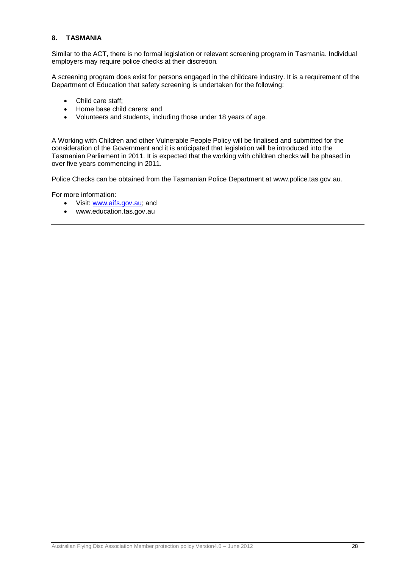## **8. TASMANIA**

Similar to the ACT, there is no formal legislation or relevant screening program in Tasmania. Individual employers may require police checks at their discretion.

A screening program does exist for persons engaged in the childcare industry. It is a requirement of the Department of Education that safety screening is undertaken for the following:

- Child care staff:
- Home base child carers; and
- Volunteers and students, including those under 18 years of age.

A Working with Children and other Vulnerable People Policy will be finalised and submitted for the consideration of the Government and it is anticipated that legislation will be introduced into the Tasmanian Parliament in 2011. It is expected that the working with children checks will be phased in over five years commencing in 2011.

Police Checks can be obtained from the Tasmanian Police Department at www.police.tas.gov.au.

For more information:

- Visit: [www.aifs.gov.au;](http://www.aifs.gov.au/) and
- www.education.tas.gov.au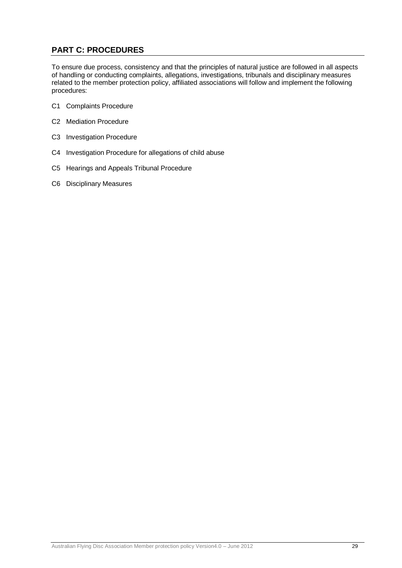# **PART C: PROCEDURES**

To ensure due process, consistency and that the principles of natural justice are followed in all aspects of handling or conducting complaints, allegations, investigations, tribunals and disciplinary measures related to the member protection policy, affiliated associations will follow and implement the following procedures:

- C1 Complaints Procedure
- C2 Mediation Procedure
- C3 Investigation Procedure
- C4 Investigation Procedure for allegations of child abuse
- C5 Hearings and Appeals Tribunal Procedure
- C6 Disciplinary Measures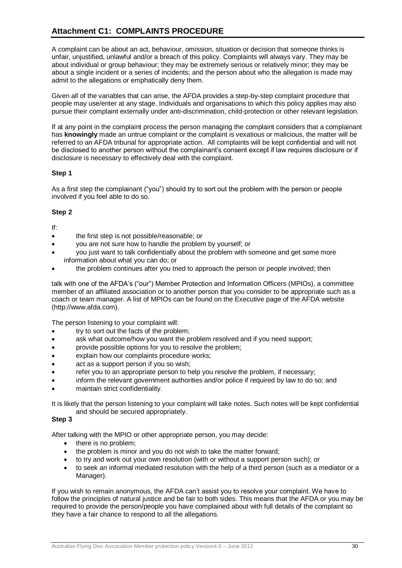# **Attachment C1: COMPLAINTS PROCEDURE**

A complaint can be about an act, behaviour, omission, situation or decision that someone thinks is unfair, unjustified, unlawful and/or a breach of this policy. Complaints will always vary. They may be about individual or group behaviour; they may be extremely serious or relatively minor; they may be about a single incident or a series of incidents; and the person about who the allegation is made may admit to the allegations or emphatically deny them.

Given all of the variables that can arise, the AFDA provides a step-by-step complaint procedure that people may use/enter at any stage. Individuals and organisations to which this policy applies may also pursue their complaint externally under anti-discrimination, child-protection or other relevant legislation.

If at any point in the complaint process the person managing the complaint considers that a complainant has **knowingly** made an untrue complaint or the complaint is vexatious or malicious, the matter will be referred to an AFDA tribunal for appropriate action. All complaints will be kept confidential and will not be disclosed to another person without the complainant's consent except if law requires disclosure or if disclosure is necessary to effectively deal with the complaint.

## **Step 1**

As a first step the complainant ("you") should try to sort out the problem with the person or people involved if you feel able to do so.

## **Step 2**

If:

- the first step is not possible/reasonable; or
- you are not sure how to handle the problem by yourself; or
- you just want to talk confidentially about the problem with someone and get some more information about what you can do; or
- the problem continues after you tried to approach the person or people involved; then

talk with one of the AFDA's ("our") Member Protection and Information Officers (MPIOs), a committee member of an affiliated association or to another person that you consider to be appropriate such as a coach or team manager. A list of MPIOs can be found on the Executive page of the AFDA website (http://www.afda.com).

The person listening to your complaint will:

- try to sort out the facts of the problem;
- ask what outcome/how you want the problem resolved and if you need support;
- provide possible options for you to resolve the problem;
- explain how our complaints procedure works;
- act as a support person if you so wish;
- refer you to an appropriate person to help you resolve the problem, if necessary;
- inform the relevant government authorities and/or police if required by law to do so; and
- maintain strict confidentiality.

It is likely that the person listening to your complaint will take notes. Such notes will be kept confidential and should be secured appropriately.

#### **Step 3**

After talking with the MPIO or other appropriate person, you may decide:

- there is no problem;
- the problem is minor and you do not wish to take the matter forward;
- to try and work out your own resolution (with or without a support person such); or
- to seek an informal mediated resolution with the help of a third person (such as a mediator or a Manager).

If you wish to remain anonymous, the AFDA can't assist you to resolve your complaint. We have to follow the principles of natural justice and be fair to both sides. This means that the AFDA or you may be required to provide the person/people you have complained about with full details of the complaint so they have a fair chance to respond to all the allegations.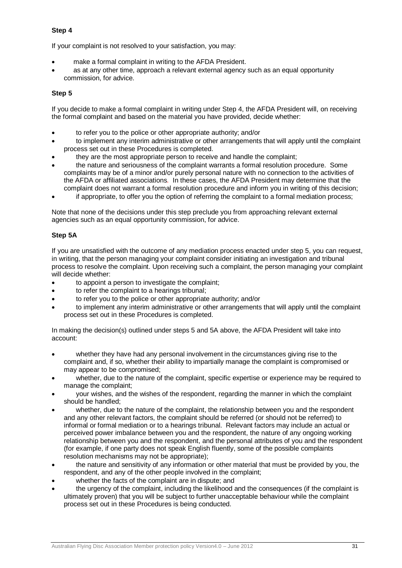## **Step 4**

If your complaint is not resolved to your satisfaction, you may:

- make a formal complaint in writing to the AFDA President.
- as at any other time, approach a relevant external agency such as an equal opportunity commission, for advice.

## **Step 5**

If you decide to make a formal complaint in writing under Step 4, the AFDA President will, on receiving the formal complaint and based on the material you have provided, decide whether:

- to refer you to the police or other appropriate authority; and/or
- to implement any interim administrative or other arrangements that will apply until the complaint process set out in these Procedures is completed.
- they are the most appropriate person to receive and handle the complaint;
- the nature and seriousness of the complaint warrants a formal resolution procedure. Some complaints may be of a minor and/or purely personal nature with no connection to the activities of the AFDA or affiliated associations*.* In these cases, the AFDA President may determine that the complaint does not warrant a formal resolution procedure and inform you in writing of this decision;
- if appropriate, to offer you the option of referring the complaint to a formal mediation process;

Note that none of the decisions under this step preclude you from approaching relevant external agencies such as an equal opportunity commission, for advice.

## **Step 5A**

If you are unsatisfied with the outcome of any mediation process enacted under step 5, you can request, in writing, that the person managing your complaint consider initiating an investigation and tribunal process to resolve the complaint. Upon receiving such a complaint, the person managing your complaint will decide whether:

- to appoint a person to investigate the complaint;
- to refer the complaint to a hearings tribunal;
- to refer you to the police or other appropriate authority; and/or
- to implement any interim administrative or other arrangements that will apply until the complaint process set out in these Procedures is completed.

In making the decision(s) outlined under steps 5 and 5A above, the AFDA President will take into account:

- whether they have had any personal involvement in the circumstances giving rise to the complaint and, if so, whether their ability to impartially manage the complaint is compromised or may appear to be compromised;
- whether, due to the nature of the complaint, specific expertise or experience may be required to manage the complaint;
- your wishes, and the wishes of the respondent, regarding the manner in which the complaint should be handled;
- whether, due to the nature of the complaint, the relationship between you and the respondent and any other relevant factors, the complaint should be referred (or should not be referred) to informal or formal mediation or to a hearings tribunal. Relevant factors may include an actual or perceived power imbalance between you and the respondent, the nature of any ongoing working relationship between you and the respondent, and the personal attributes of you and the respondent (for example, if one party does not speak English fluently, some of the possible complaints resolution mechanisms may not be appropriate);
- the nature and sensitivity of any information or other material that must be provided by you, the respondent, and any of the other people involved in the complaint;
- whether the facts of the complaint are in dispute; and
- the urgency of the complaint, including the likelihood and the consequences (if the complaint is ultimately proven) that you will be subject to further unacceptable behaviour while the complaint process set out in these Procedures is being conducted.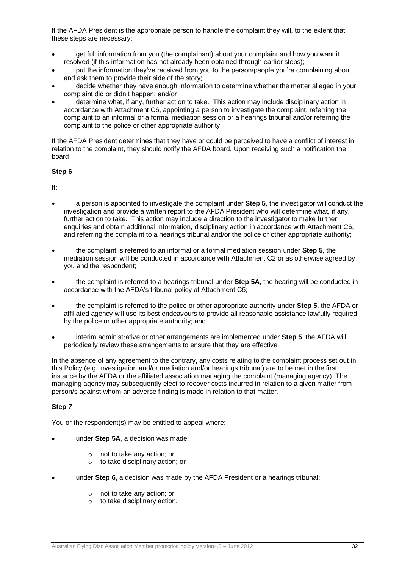If the AFDA President is the appropriate person to handle the complaint they will, to the extent that these steps are necessary:

- get full information from you (the complainant) about your complaint and how you want it resolved (if this information has not already been obtained through earlier steps);
- put the information they've received from you to the person/people you're complaining about and ask them to provide their side of the story;
- decide whether they have enough information to determine whether the matter alleged in your complaint did or didn't happen; and/or
- determine what, if any, further action to take. This action may include disciplinary action in accordance with Attachment C6, appointing a person to investigate the complaint, referring the complaint to an informal or a formal mediation session or a hearings tribunal and/or referring the complaint to the police or other appropriate authority.

If the AFDA President determines that they have or could be perceived to have a conflict of interest in relation to the complaint, they should notify the AFDA board. Upon receiving such a notification the board

## **Step 6**

If:

- a person is appointed to investigate the complaint under **Step 5**, the investigator will conduct the investigation and provide a written report to the AFDA President who will determine what, if any, further action to take. This action may include a direction to the investigator to make further enquiries and obtain additional information, disciplinary action in accordance with Attachment C6, and referring the complaint to a hearings tribunal and/or the police or other appropriate authority;
- the complaint is referred to an informal or a formal mediation session under **Step 5**, the mediation session will be conducted in accordance with Attachment C2 or as otherwise agreed by you and the respondent;
- the complaint is referred to a hearings tribunal under **Step 5A**, the hearing will be conducted in accordance with the AFDA's tribunal policy at Attachment C5;
- the complaint is referred to the police or other appropriate authority under **Step 5**, the AFDA or affiliated agency will use its best endeavours to provide all reasonable assistance lawfully required by the police or other appropriate authority; and
- interim administrative or other arrangements are implemented under **Step 5**, the AFDA will periodically review these arrangements to ensure that they are effective.

In the absence of any agreement to the contrary, any costs relating to the complaint process set out in this Policy (e.g. investigation and/or mediation and/or hearings tribunal) are to be met in the first instance by the AFDA or the affiliated association managing the complaint (managing agency). The managing agency may subsequently elect to recover costs incurred in relation to a given matter from person/s against whom an adverse finding is made in relation to that matter.

# **Step 7**

You or the respondent(s) may be entitled to appeal where:

- under **Step 5A**, a decision was made:
	- o not to take any action; or
	- o to take disciplinary action; or
- under **Step 6**, a decision was made by the AFDA President or a hearings tribunal:
	- o not to take any action; or
	- $\circ$  to take disciplinary action.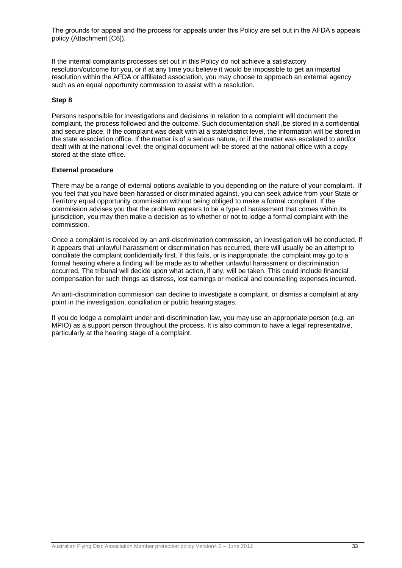The grounds for appeal and the process for appeals under this Policy are set out in the AFDA's appeals policy (Attachment [C6]).

If the internal complaints processes set out in this Policy do not achieve a satisfactory resolution/outcome for you, or if at any time you believe it would be impossible to get an impartial resolution within the AFDA or affiliated association, you may choose to approach an external agency such as an equal opportunity commission to assist with a resolution.

#### **Step 8**

Persons responsible for investigations and decisions in relation to a complaint will document the complaint, the process followed and the outcome. Such documentation shall ,be stored in a confidential and secure place. If the complaint was dealt with at a state/district level, the information will be stored in the state association office. If the matter is of a serious nature, or if the matter was escalated to and/or dealt with at the national level, the original document will be stored at the national office with a copy stored at the state office.

#### **External procedure**

There may be a range of external options available to you depending on the nature of your complaint. If you feel that you have been harassed or discriminated against, you can seek advice from your State or Territory equal opportunity commission without being obliged to make a formal complaint. If the commission advises you that the problem appears to be a type of harassment that comes within its jurisdiction, you may then make a decision as to whether or not to lodge a formal complaint with the commission.

Once a complaint is received by an anti-discrimination commission, an investigation will be conducted. If it appears that unlawful harassment or discrimination has occurred, there will usually be an attempt to conciliate the complaint confidentially first. If this fails, or is inappropriate, the complaint may go to a formal hearing where a finding will be made as to whether unlawful harassment or discrimination occurred. The tribunal will decide upon what action, if any, will be taken. This could include financial compensation for such things as distress, lost earnings or medical and counselling expenses incurred.

An anti-discrimination commission can decline to investigate a complaint, or dismiss a complaint at any point in the investigation, conciliation or public hearing stages.

If you do lodge a complaint under anti-discrimination law, you may use an appropriate person (e.g. an MPIO) as a support person throughout the process. It is also common to have a legal representative, particularly at the hearing stage of a complaint.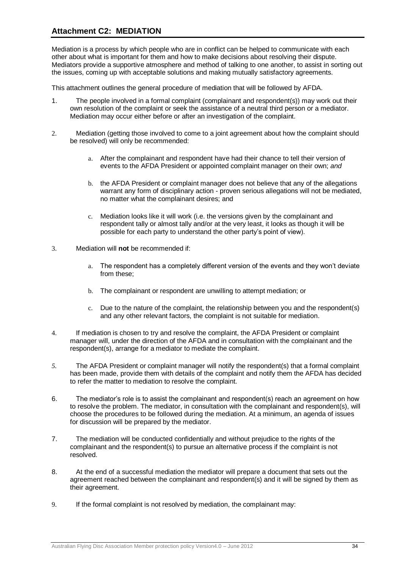# **Attachment C2: MEDIATION**

Mediation is a process by which people who are in conflict can be helped to communicate with each other about what is important for them and how to make decisions about resolving their dispute. Mediators provide a supportive atmosphere and method of talking to one another, to assist in sorting out the issues, coming up with acceptable solutions and making mutually satisfactory agreements.

This attachment outlines the general procedure of mediation that will be followed by AFDA.

- 1. The people involved in a formal complaint (complainant and respondent(s)) may work out their own resolution of the complaint or seek the assistance of a neutral third person or a mediator. Mediation may occur either before or after an investigation of the complaint.
- 2. Mediation (getting those involved to come to a joint agreement about how the complaint should be resolved) will only be recommended:
	- a. After the complainant and respondent have had their chance to tell their version of events to the AFDA President or appointed complaint manager on their own; *and*
	- b. the AFDA President or complaint manager does not believe that any of the allegations warrant any form of disciplinary action - proven serious allegations will not be mediated, no matter what the complainant desires; and
	- c. Mediation looks like it will work (i.e. the versions given by the complainant and respondent tally or almost tally and/or at the very least, it looks as though it will be possible for each party to understand the other party's point of view).
- 3. Mediation will **not** be recommended if:
	- a. The respondent has a completely different version of the events and they won't deviate from these;
	- b. The complainant or respondent are unwilling to attempt mediation; or
	- c. Due to the nature of the complaint, the relationship between you and the respondent(s) and any other relevant factors, the complaint is not suitable for mediation.
- 4. If mediation is chosen to try and resolve the complaint, the AFDA President or complaint manager will, under the direction of the AFDA and in consultation with the complainant and the respondent(s), arrange for a mediator to mediate the complaint.
- *5.* The AFDA President or complaint manager will notify the respondent(s) that a formal complaint has been made, provide them with details of the complaint and notify them the AFDA has decided to refer the matter to mediation to resolve the complaint.
- 6. The mediator's role is to assist the complainant and respondent(s) reach an agreement on how to resolve the problem. The mediator, in consultation with the complainant and respondent(s), will choose the procedures to be followed during the mediation. At a minimum, an agenda of issues for discussion will be prepared by the mediator.
- 7. The mediation will be conducted confidentially and without prejudice to the rights of the complainant and the respondent(s) to pursue an alternative process if the complaint is not resolved.
- 8. At the end of a successful mediation the mediator will prepare a document that sets out the agreement reached between the complainant and respondent(s) and it will be signed by them as their agreement.
- 9. If the formal complaint is not resolved by mediation, the complainant may: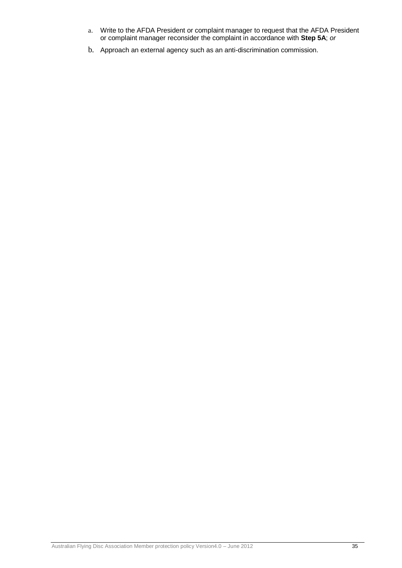- a. Write to the AFDA President or complaint manager to request that the AFDA President or complaint manager reconsider the complaint in accordance with **Step 5A**; *or*
- b. Approach an external agency such as an anti-discrimination commission.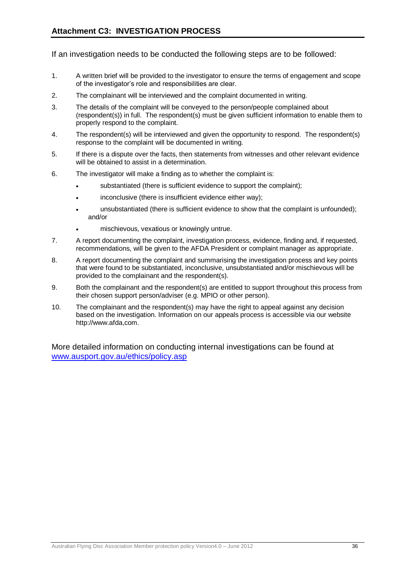If an investigation needs to be conducted the following steps are to be followed:

- 1. A written brief will be provided to the investigator to ensure the terms of engagement and scope of the investigator's role and responsibilities are clear.
- 2. The complainant will be interviewed and the complaint documented in writing.
- 3. The details of the complaint will be conveyed to the person/people complained about (respondent(s)) in full. The respondent(s) must be given sufficient information to enable them to properly respond to the complaint.
- 4. The respondent(s) will be interviewed and given the opportunity to respond. The respondent(s) response to the complaint will be documented in writing.
- 5. If there is a dispute over the facts, then statements from witnesses and other relevant evidence will be obtained to assist in a determination.
- 6. The investigator will make a finding as to whether the complaint is:
	- substantiated (there is sufficient evidence to support the complaint);
	- inconclusive (there is insufficient evidence either way);
	- unsubstantiated (there is sufficient evidence to show that the complaint is unfounded); and/or
	- mischievous, vexatious or knowingly untrue.
- 7. A report documenting the complaint, investigation process, evidence, finding and, if requested, recommendations, will be given to the AFDA President or complaint manager as appropriate.
- 8. A report documenting the complaint and summarising the investigation process and key points that were found to be substantiated, inconclusive, unsubstantiated and/or mischievous will be provided to the complainant and the respondent(s).
- 9. Both the complainant and the respondent(s) are entitled to support throughout this process from their chosen support person/adviser (e.g. MPIO or other person).
- 10. The complainant and the respondent(s) may have the right to appeal against any decision based on the investigation. Information on our appeals process is accessible via our website http://www.afda,com.

More detailed information on conducting internal investigations can be found at [www.ausport.gov.au/ethics/policy.asp](http://www.ausport.gov.au/ethics/policy.asp)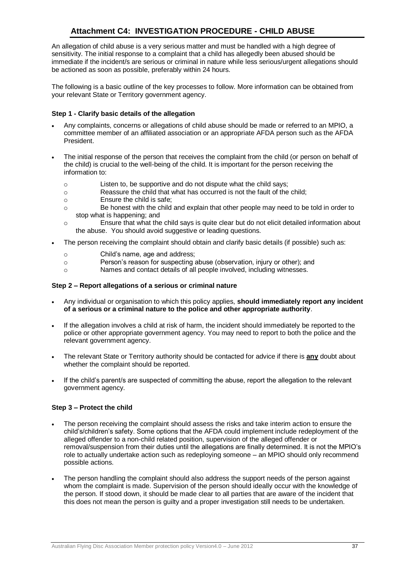# **Attachment C4: INVESTIGATION PROCEDURE - CHILD ABUSE**

An allegation of child abuse is a very serious matter and must be handled with a high degree of sensitivity. The initial response to a complaint that a child has allegedly been abused should be immediate if the incident/s are serious or criminal in nature while less serious/urgent allegations should be actioned as soon as possible, preferably within 24 hours.

The following is a basic outline of the key processes to follow. More information can be obtained from your relevant State or Territory government agency.

#### **Step 1 - Clarify basic details of the allegation**

- Any complaints, concerns or allegations of child abuse should be made or referred to an MPIO, a committee member of an affiliated association or an appropriate AFDA person such as the AFDA President.
- The initial response of the person that receives the complaint from the child (or person on behalf of the child) is crucial to the well-being of the child. It is important for the person receiving the information to:
	- o Listen to, be supportive and do not dispute what the child says;
	- o Reassure the child that what has occurred is not the fault of the child;
	- o Ensure the child is safe;
	- o Be honest with the child and explain that other people may need to be told in order to stop what is happening; and
	- o Ensure that what the child says is quite clear but do not elicit detailed information about the abuse. You should avoid suggestive or leading questions.
- The person receiving the complaint should obtain and clarify basic details (if possible) such as:
	- o Child's name, age and address;
	- o Person's reason for suspecting abuse (observation, injury or other); and
	- o Names and contact details of all people involved, including witnesses.

#### **Step 2 – Report allegations of a serious or criminal nature**

- Any individual or organisation to which this policy applies, **should immediately report any incident of a serious or a criminal nature to the police and other appropriate authority**.
- If the allegation involves a child at risk of harm, the incident should immediately be reported to the police or other appropriate government agency. You may need to report to both the police and the relevant government agency.
- The relevant State or Territory authority should be contacted for advice if there is **any** doubt about whether the complaint should be reported.
- If the child's parent/s are suspected of committing the abuse, report the allegation to the relevant government agency.

#### **Step 3 – Protect the child**

- The person receiving the complaint should assess the risks and take interim action to ensure the child's/children's safety. Some options that the AFDA could implement include redeployment of the alleged offender to a non-child related position, supervision of the alleged offender or removal/suspension from their duties until the allegations are finally determined. It is not the MPIO's role to actually undertake action such as redeploying someone – an MPIO should only recommend possible actions.
- The person handling the complaint should also address the support needs of the person against whom the complaint is made. Supervision of the person should ideally occur with the knowledge of the person. If stood down, it should be made clear to all parties that are aware of the incident that this does not mean the person is guilty and a proper investigation still needs to be undertaken.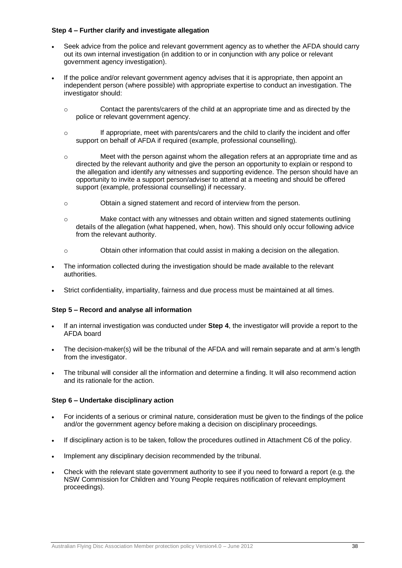#### **Step 4 – Further clarify and investigate allegation**

- Seek advice from the police and relevant government agency as to whether the AFDA should carry out its own internal investigation (in addition to or in conjunction with any police or relevant government agency investigation).
- If the police and/or relevant government agency advises that it is appropriate, then appoint an independent person (where possible) with appropriate expertise to conduct an investigation. The investigator should:
	- o Contact the parents/carers of the child at an appropriate time and as directed by the police or relevant government agency.
	- o If appropriate, meet with parents/carers and the child to clarify the incident and offer support on behalf of AFDA if required (example, professional counselling).
	- o Meet with the person against whom the allegation refers at an appropriate time and as directed by the relevant authority and give the person an opportunity to explain or respond to the allegation and identify any witnesses and supporting evidence. The person should have an opportunity to invite a support person/adviser to attend at a meeting and should be offered support (example, professional counselling) if necessary.
	- o Obtain a signed statement and record of interview from the person.
	- o Make contact with any witnesses and obtain written and signed statements outlining details of the allegation (what happened, when, how). This should only occur following advice from the relevant authority.
	- o Obtain other information that could assist in making a decision on the allegation.
- The information collected during the investigation should be made available to the relevant authorities.
- Strict confidentiality, impartiality, fairness and due process must be maintained at all times.

#### **Step 5 – Record and analyse all information**

- If an internal investigation was conducted under **Step 4**, the investigator will provide a report to the AFDA board
- The decision-maker(s) will be the tribunal of the AFDA and will remain separate and at arm's length from the investigator.
- The tribunal will consider all the information and determine a finding. It will also recommend action and its rationale for the action.

#### **Step 6 – Undertake disciplinary action**

- For incidents of a serious or criminal nature, consideration must be given to the findings of the police and/or the government agency before making a decision on disciplinary proceedings.
- If disciplinary action is to be taken, follow the procedures outlined in Attachment C6 of the policy.
- Implement any disciplinary decision recommended by the tribunal.
- Check with the relevant state government authority to see if you need to forward a report (e.g. the NSW Commission for Children and Young People requires notification of relevant employment proceedings).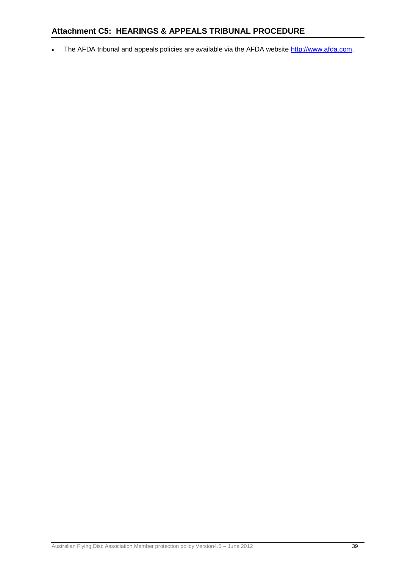# **Attachment C5: HEARINGS & APPEALS TRIBUNAL PROCEDURE**

• The AFDA tribunal and appeals policies are available via the AFDA website [http://www.afda.com.](http://www.afda.com/)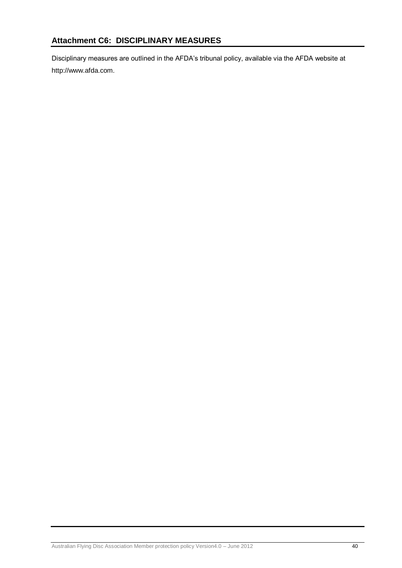Disciplinary measures are outlined in the AFDA's tribunal policy, available via the AFDA website at http://www.afda.com.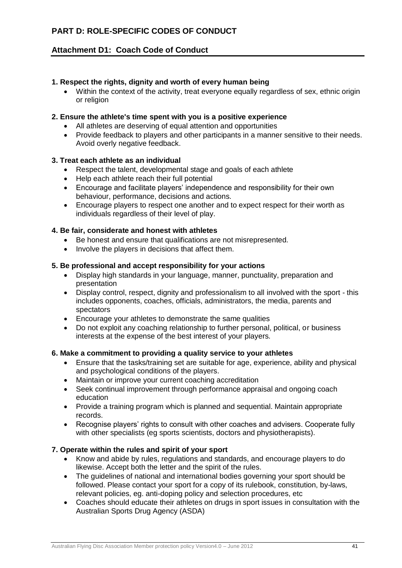# **PART D: ROLE-SPECIFIC CODES OF CONDUCT**

# **Attachment D1: Coach Code of Conduct**

# **1. Respect the rights, dignity and worth of every human being**

 Within the context of the activity, treat everyone equally regardless of sex, ethnic origin or religion

# **2. Ensure the athlete's time spent with you is a positive experience**

- All athletes are deserving of equal attention and opportunities
- Provide feedback to players and other participants in a manner sensitive to their needs. Avoid overly negative feedback.

# **3. Treat each athlete as an individual**

- Respect the talent, developmental stage and goals of each athlete
- Help each athlete reach their full potential
- Encourage and facilitate players' independence and responsibility for their own behaviour, performance, decisions and actions.
- Encourage players to respect one another and to expect respect for their worth as individuals regardless of their level of play.

## **4. Be fair, considerate and honest with athletes**

- Be honest and ensure that qualifications are not misrepresented.
- Involve the players in decisions that affect them.

## **5. Be professional and accept responsibility for your actions**

- Display high standards in your language, manner, punctuality, preparation and presentation
- Display control, respect, dignity and professionalism to all involved with the sport this includes opponents, coaches, officials, administrators, the media, parents and spectators
- Encourage your athletes to demonstrate the same qualities
- Do not exploit any coaching relationship to further personal, political, or business interests at the expense of the best interest of your players.

# **6. Make a commitment to providing a quality service to your athletes**

- Ensure that the tasks/training set are suitable for age, experience, ability and physical and psychological conditions of the players.
- Maintain or improve your current coaching accreditation
- Seek continual improvement through performance appraisal and ongoing coach education
- Provide a training program which is planned and sequential. Maintain appropriate records.
- Recognise players' rights to consult with other coaches and advisers. Cooperate fully with other specialists (eg sports scientists, doctors and physiotherapists).

# **7. Operate within the rules and spirit of your sport**

- Know and abide by rules, regulations and standards, and encourage players to do likewise. Accept both the letter and the spirit of the rules.
- The guidelines of national and international bodies governing your sport should be followed. Please contact your sport for a copy of its rulebook, constitution, by-laws, relevant policies, eg. anti-doping policy and selection procedures, etc
- Coaches should educate their athletes on drugs in sport issues in consultation with the Australian Sports Drug Agency (ASDA)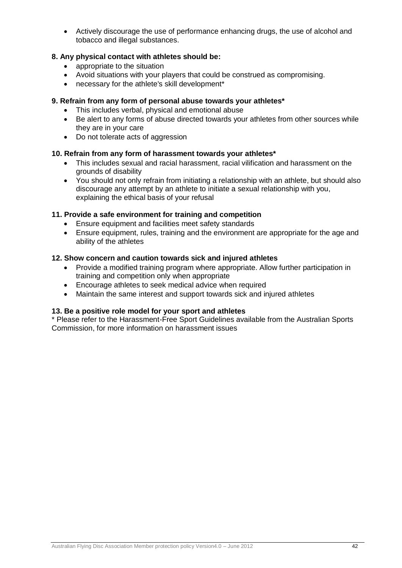Actively discourage the use of performance enhancing drugs, the use of alcohol and tobacco and illegal substances.

# **8. Any physical contact with athletes should be:**

- appropriate to the situation
- Avoid situations with your players that could be construed as compromising.
- necessary for the athlete's skill development\*

# **9. Refrain from any form of personal abuse towards your athletes\***

- This includes verbal, physical and emotional abuse
- Be alert to any forms of abuse directed towards your athletes from other sources while they are in your care
- Do not tolerate acts of aggression

# **10. Refrain from any form of harassment towards your athletes\***

- This includes sexual and racial harassment, racial vilification and harassment on the grounds of disability
- You should not only refrain from initiating a relationship with an athlete, but should also discourage any attempt by an athlete to initiate a sexual relationship with you, explaining the ethical basis of your refusal

# **11. Provide a safe environment for training and competition**

- Ensure equipment and facilities meet safety standards
- Ensure equipment, rules, training and the environment are appropriate for the age and ability of the athletes

# **12. Show concern and caution towards sick and injured athletes**

- Provide a modified training program where appropriate. Allow further participation in training and competition only when appropriate
- Encourage athletes to seek medical advice when required
- Maintain the same interest and support towards sick and injured athletes

# **13. Be a positive role model for your sport and athletes**

\* Please refer to the Harassment-Free Sport Guidelines available from the Australian Sports Commission, for more information on harassment issues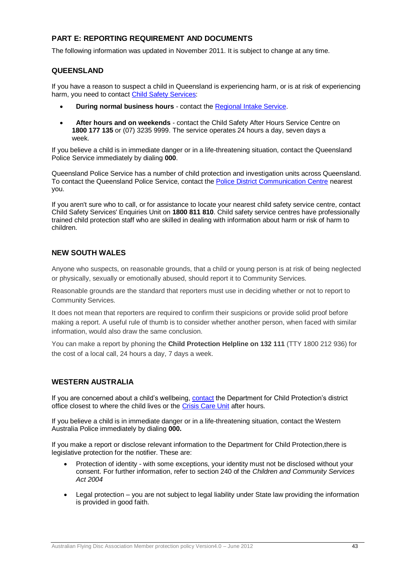# **PART E: REPORTING REQUIREMENT AND DOCUMENTS**

The following information was updated in November 2011. It is subject to change at any time.

# **QUEENSLAND**

If you have a reason to suspect a child in Queensland is experiencing harm, or is at risk of experiencing harm, you need to contact [Child Safety Services:](http://www.communities.qld.gov.au/childsafety/about-us/contact-us)

- **During normal business hours** contact the [Regional Intake Service.](http://www.communities.qld.gov.au/childsafety/about-us/contact-us/child-safety-service-centres/regional-intake-services)
- **After hours and on weekends** contact the Child Safety After Hours Service Centre on **1800 177 135** or (07) 3235 9999. The service operates 24 hours a day, seven days a week.

If you believe a child is in immediate danger or in a life-threatening situation, contact the Queensland Police Service immediately by dialing **000**.

Queensland Police Service has a number of child protection and investigation units across Queensland. To contact the Queensland Police Service, contact the [Police District Communication Centre](http://www.police.qld.gov.au/forms/contact.asp#districtComms) nearest you.

If you aren't sure who to call, or for assistance to locate your nearest child safety service centre, contact Child Safety Services' Enquiries Unit on **1800 811 810**. Child safety service centres have professionally trained child protection staff who are skilled in dealing with information about harm or risk of harm to children.

## **NEW SOUTH WALES**

Anyone who suspects, on reasonable grounds, that a child or young person is at risk of being neglected or physically, sexually or emotionally abused, should report it to Community Services.

Reasonable grounds are the standard that reporters must use in deciding whether or not to report to Community Services.

It does not mean that reporters are required to confirm their suspicions or provide solid proof before making a report. A useful rule of thumb is to consider whether another person, when faced with similar information, would also draw the same conclusion.

You can make a report by phoning the **Child Protection Helpline on 132 111** (TTY 1800 212 936) for the cost of a local call, 24 hours a day, 7 days a week.

# **WESTERN AUSTRALIA**

If you are concerned about a child's wellbeing, [contact](http://www.dcp.wa.gov.au/Organisation/ContactUs/Pages/ContactUs.aspx) the Department for Child Protection's district office closest to where the child lives or the [Crisis Care Unit](http://www.dcp.wa.gov.au/Organisation/ContactUs/Pages/ContactUs.aspx) after hours.

If you believe a child is in immediate danger or in a life-threatening situation, contact the Western Australia Police immediately by dialing **000.**

If you make a report or disclose relevant information to the Department for Child Protection,there is legislative protection for the notifier. These are:

- Protection of identity with some exceptions, your identity must not be disclosed without your consent. For further information, refer to section 240 of the *Children and Community Services Act 2004*
- Legal protection you are not subject to legal liability under State law providing the information is provided in good faith.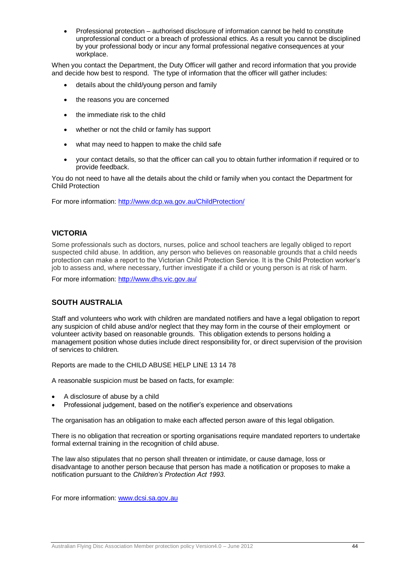Professional protection – authorised disclosure of information cannot be held to constitute unprofessional conduct or a breach of professional ethics. As a result you cannot be disciplined by your professional body or incur any formal professional negative consequences at your workplace.

When you contact the Department, the Duty Officer will gather and record information that you provide and decide how best to respond. The type of information that the officer will gather includes:

- details about the child/young person and family
- the reasons you are concerned
- the immediate risk to the child
- whether or not the child or family has support
- what may need to happen to make the child safe
- your contact details, so that the officer can call you to obtain further information if required or to provide feedback.

You do not need to have all the details about the child or family when you contact the Department for Child Protection

For more information:<http://www.dcp.wa.gov.au/ChildProtection/>

## **VICTORIA**

Some professionals such as doctors, nurses, police and school teachers are legally obliged to report suspected child abuse. In addition, any person who believes on reasonable grounds that a child needs protection can make a report to the Victorian Child Protection Service. It is the Child Protection worker's job to assess and, where necessary, further investigate if a child or young person is at risk of harm.

For more information:<http://www.dhs.vic.gov.au/>

#### **SOUTH AUSTRALIA**

Staff and volunteers who work with children are mandated notifiers and have a legal obligation to report any suspicion of child abuse and/or neglect that they may form in the course of their employment or volunteer activity based on reasonable grounds. This obligation extends to persons holding a management position whose duties include direct responsibility for, or direct supervision of the provision of services to children.

Reports are made to the CHILD ABUSE HELP LINE 13 14 78

A reasonable suspicion must be based on facts, for example:

- A disclosure of abuse by a child
- Professional judgement, based on the notifier's experience and observations

The organisation has an obligation to make each affected person aware of this legal obligation.

There is no obligation that recreation or sporting organisations require mandated reporters to undertake formal external training in the recognition of child abuse.

The law also stipulates that no person shall threaten or intimidate, or cause damage, loss or disadvantage to another person because that person has made a notification or proposes to make a notification pursuant to the *Children's Protection Act 1993*.

For more information: [www.dcsi.sa.gov.au](http://www.dcsi.sa.gov.au/)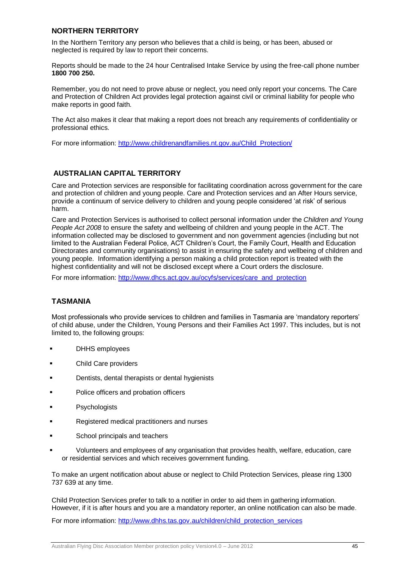## **NORTHERN TERRITORY**

In the Northern Territory any person who believes that a child is being, or has been, abused or neglected is required by law to report their concerns.

Reports should be made to the 24 hour Centralised Intake Service by using the free-call phone number **1800 700 250.**

Remember, you do not need to prove abuse or neglect, you need only report your concerns. The Care and Protection of Children Act provides legal protection against civil or criminal liability for people who make reports in good faith.

The Act also makes it clear that making a report does not breach any requirements of confidentiality or professional ethics.

For more information: [http://www.childrenandfamilies.nt.gov.au/Child\\_Protection/](http://www.childrenandfamilies.nt.gov.au/Child_Protection/)

# **AUSTRALIAN CAPITAL TERRITORY**

Care and Protection services are responsible for facilitating coordination across government for the care and protection of children and young people. Care and Protection services and an After Hours service, provide a continuum of service delivery to children and young people considered 'at risk' of serious harm.

Care and Protection Services is authorised to collect personal information under the *Children and Young People Act 2008* to ensure the safety and wellbeing of children and young people in the ACT. The information collected may be disclosed to government and non government agencies (including but not limited to the Australian Federal Police, ACT Children's Court, the Family Court, Health and Education Directorates and community organisations) to assist in ensuring the safety and wellbeing of children and young people. Information identifying a person making a child protection report is treated with the highest confidentiality and will not be disclosed except where a Court orders the disclosure.

For more information: [http://www.dhcs.act.gov.au/ocyfs/services/care\\_and\\_protection](http://www.dhcs.act.gov.au/ocyfs/services/care_and_protection)

#### **TASMANIA**

Most professionals who provide services to children and families in Tasmania are 'mandatory reporters' of child abuse, under the Children, Young Persons and their Families Act 1997. This includes, but is not limited to, the following groups:

- DHHS employees
- Child Care providers
- Dentists, dental therapists or dental hygienists
- Police officers and probation officers
- **Psychologists**
- Registered medical practitioners and nurses
- School principals and teachers
- Volunteers and employees of any organisation that provides health, welfare, education, care or residential services and which receives government funding.

To make an urgent notification about abuse or neglect to Child Protection Services, please ring 1300 737 639 at any time.

Child Protection Services prefer to talk to a notifier in order to aid them in gathering information. However, if it is after hours and you are a mandatory reporter, an online notification can also be made.

For more information: [http://www.dhhs.tas.gov.au/children/child\\_protection\\_services](http://www.dhhs.tas.gov.au/children/child_protection_services)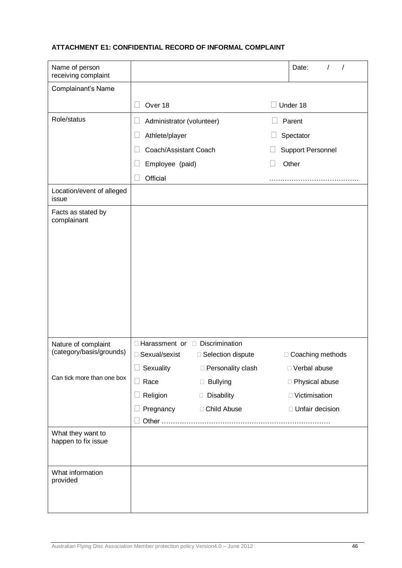# **ATTACHMENT E1: CONFIDENTIAL RECORD OF INFORMAL COMPLAINT**

| Name of person<br>receiving complaint           |                                            |                     |                   | Date:<br>$\prime$        |
|-------------------------------------------------|--------------------------------------------|---------------------|-------------------|--------------------------|
| Complainant's Name                              |                                            |                     |                   |                          |
|                                                 | Over 18                                    |                     |                   | Under 18                 |
| Role/status                                     | Administrator (volunteer)                  |                     |                   | Parent                   |
|                                                 | Athlete/player<br>$\Box$                   |                     |                   | Spectator                |
|                                                 | Coach/Assistant Coach                      |                     |                   | <b>Support Personnel</b> |
|                                                 | Employee (paid)                            |                     | $\vert \ \ \vert$ | Other                    |
|                                                 | Official                                   |                     |                   |                          |
| Location/event of alleged<br>issue              |                                            |                     |                   |                          |
| Facts as stated by<br>complainant               |                                            |                     |                   |                          |
|                                                 |                                            |                     |                   |                          |
|                                                 |                                            |                     |                   |                          |
|                                                 |                                            |                     |                   |                          |
|                                                 |                                            |                     |                   |                          |
|                                                 |                                            |                     |                   |                          |
|                                                 |                                            |                     |                   |                          |
|                                                 |                                            |                     |                   |                          |
|                                                 | $\Box$ Harassment or $\Box$ Discrimination |                     |                   |                          |
| Nature of complaint<br>(category/basis/grounds) | □ Sexual/sexist                            | □ Selection dispute |                   | □ Coaching methods       |
|                                                 | Sexuality                                  | □ Personality clash |                   | □ Verbal abuse           |
| Can tick more than one box                      | Race<br>$\Box$                             | <b>Bullying</b>     |                   | □ Physical abuse         |
|                                                 | Religion                                   | Disability          |                   | □ Victimisation          |
|                                                 | Pregnancy                                  | □ Child Abuse       |                   | □ Unfair decision        |
|                                                 |                                            |                     |                   |                          |
| What they want to<br>happen to fix issue        |                                            |                     |                   |                          |
|                                                 |                                            |                     |                   |                          |
| What information                                |                                            |                     |                   |                          |
| provided                                        |                                            |                     |                   |                          |
|                                                 |                                            |                     |                   |                          |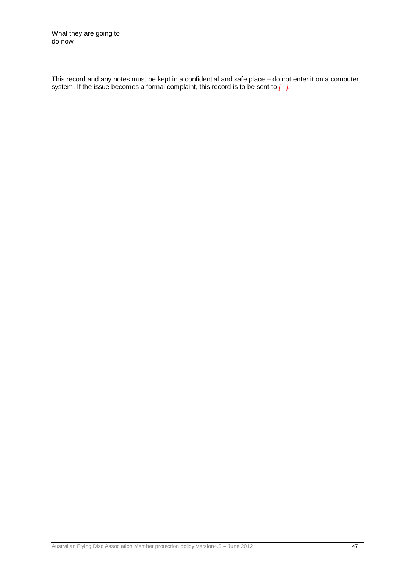| What they are going to<br>do now |  |
|----------------------------------|--|
|                                  |  |

This record and any notes must be kept in a confidential and safe place – do not enter it on a computer system. If the issue becomes a formal complaint, this record is to be sent to *[ ].*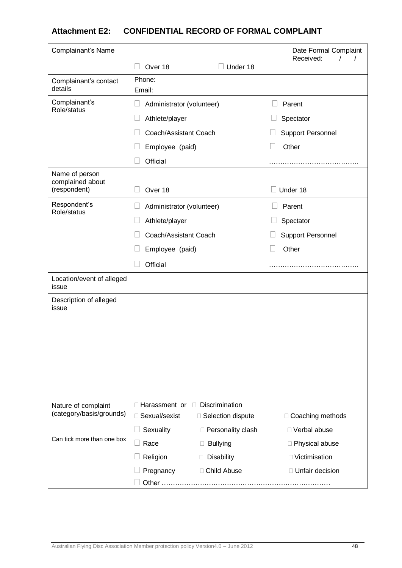# **Attachment E2: CONFIDENTIAL RECORD OF FORMAL COMPLAINT**

| Complainant's Name                              |                                                     |                                        | Date Formal Complaint                |
|-------------------------------------------------|-----------------------------------------------------|----------------------------------------|--------------------------------------|
|                                                 | Over 18                                             | Under 18                               | Received:                            |
| Complainant's contact<br>details                | Phone:<br>Email:                                    |                                        |                                      |
| Complainant's<br>Role/status                    | Н<br>Administrator (volunteer)                      |                                        | Parent                               |
|                                                 | Athlete/player                                      |                                        | Spectator                            |
|                                                 | Coach/Assistant Coach                               |                                        | <b>Support Personnel</b>             |
|                                                 | Employee (paid)                                     |                                        | Other                                |
|                                                 | Official                                            |                                        |                                      |
| Name of person<br>complained about              |                                                     |                                        |                                      |
| (respondent)                                    | Over 18                                             |                                        | Under 18                             |
| Respondent's                                    | Administrator (volunteer)<br>$\Box$                 |                                        | Parent                               |
| Role/status                                     | Athlete/player                                      |                                        | Spectator                            |
|                                                 | Coach/Assistant Coach                               |                                        | <b>Support Personnel</b>             |
|                                                 | Employee (paid)                                     |                                        | Other                                |
|                                                 | Official                                            |                                        |                                      |
| Location/event of alleged<br>issue              |                                                     |                                        |                                      |
| Description of alleged<br>issue                 |                                                     |                                        |                                      |
|                                                 |                                                     |                                        |                                      |
|                                                 |                                                     |                                        |                                      |
|                                                 |                                                     |                                        |                                      |
|                                                 |                                                     |                                        |                                      |
|                                                 |                                                     |                                        |                                      |
|                                                 |                                                     |                                        |                                      |
| Nature of complaint<br>(category/basis/grounds) | □ Harassment or □ Discrimination<br>□ Sexual/sexist |                                        |                                      |
|                                                 |                                                     | □ Selection dispute                    | □ Coaching methods<br>□ Verbal abuse |
| Can tick more than one box                      | Sexuality<br>Race<br>$\Box$                         | □ Personality clash<br><b>Bullying</b> | □ Physical abuse                     |
|                                                 | Religion                                            | Disability                             | □ Victimisation                      |
|                                                 | Pregnancy                                           | □ Child Abuse                          | □ Unfair decision                    |
|                                                 | Other                                               |                                        |                                      |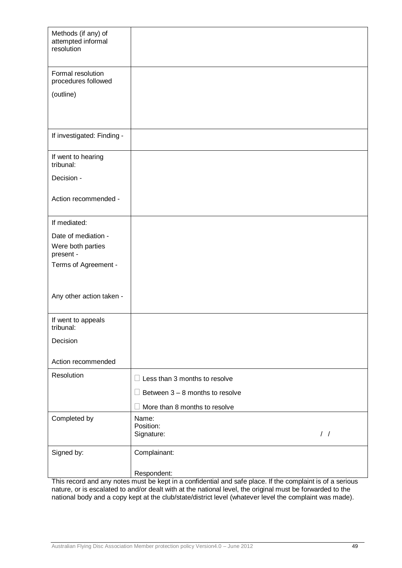| Methods (if any) of<br>attempted informal<br>resolution |                                   |
|---------------------------------------------------------|-----------------------------------|
| Formal resolution<br>procedures followed                |                                   |
| (outline)                                               |                                   |
|                                                         |                                   |
| If investigated: Finding -                              |                                   |
| If went to hearing<br>tribunal:                         |                                   |
| Decision -                                              |                                   |
| Action recommended -                                    |                                   |
| If mediated:                                            |                                   |
| Date of mediation -                                     |                                   |
| Were both parties<br>present -                          |                                   |
| Terms of Agreement -                                    |                                   |
|                                                         |                                   |
| Any other action taken -                                |                                   |
| If went to appeals<br>tribunal:                         |                                   |
| Decision                                                |                                   |
| Action recommended                                      |                                   |
| Resolution                                              | Less than 3 months to resolve     |
|                                                         | Between $3 - 8$ months to resolve |
|                                                         | More than 8 months to resolve     |
| Completed by                                            | Name:<br>Position:                |
|                                                         | $\frac{1}{2}$<br>Signature:       |
| Signed by:                                              | Complainant:                      |
|                                                         | Respondent:                       |

This record and any notes must be kept in a confidential and safe place. If the complaint is of a serious nature, or is escalated to and/or dealt with at the national level, the original must be forwarded to the national body and a copy kept at the club/state/district level (whatever level the complaint was made).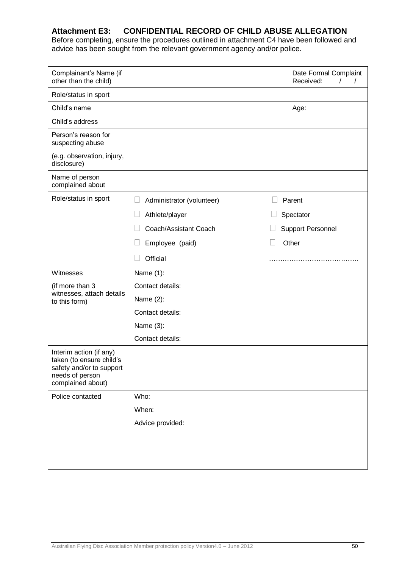# **Attachment E3: CONFIDENTIAL RECORD OF CHILD ABUSE ALLEGATION**

Before completing, ensure the procedures outlined in attachment C4 have been followed and advice has been sought from the relevant government agency and/or police.

| Complainant's Name (if<br>other than the child)                                                                         |                           | Date Formal Complaint<br>Received:<br>I |
|-------------------------------------------------------------------------------------------------------------------------|---------------------------|-----------------------------------------|
| Role/status in sport                                                                                                    |                           |                                         |
| Child's name                                                                                                            |                           | Age:                                    |
| Child's address                                                                                                         |                           |                                         |
| Person's reason for<br>suspecting abuse                                                                                 |                           |                                         |
| (e.g. observation, injury,<br>disclosure)                                                                               |                           |                                         |
| Name of person<br>complained about                                                                                      |                           |                                         |
| Role/status in sport                                                                                                    | Administrator (volunteer) | Parent                                  |
|                                                                                                                         | Athlete/player<br>Ш       | Spectator                               |
|                                                                                                                         | Coach/Assistant Coach     | <b>Support Personnel</b>                |
|                                                                                                                         | Employee (paid)<br>$\Box$ | Other                                   |
|                                                                                                                         | Official                  |                                         |
| Witnesses                                                                                                               | Name (1):                 |                                         |
|                                                                                                                         |                           |                                         |
| (if more than 3                                                                                                         | Contact details:          |                                         |
| witnesses, attach details<br>to this form)                                                                              | Name $(2)$ :              |                                         |
|                                                                                                                         | Contact details:          |                                         |
|                                                                                                                         | Name (3):                 |                                         |
|                                                                                                                         | Contact details:          |                                         |
| Interim action (if any)<br>taken (to ensure child's<br>safety and/or to support<br>needs of person<br>complained about) |                           |                                         |
| Police contacted                                                                                                        | Who:                      |                                         |
|                                                                                                                         | When:                     |                                         |
|                                                                                                                         | Advice provided:          |                                         |
|                                                                                                                         |                           |                                         |
|                                                                                                                         |                           |                                         |